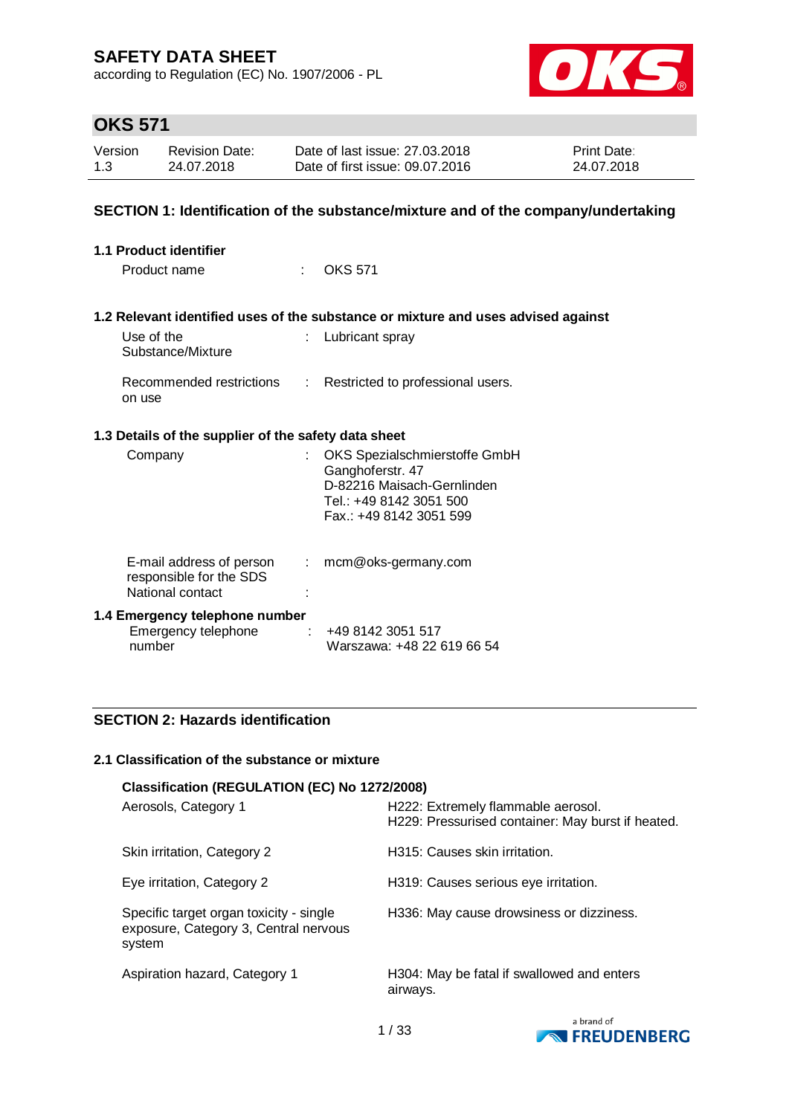according to Regulation (EC) No. 1907/2006 - PL



# **OKS 571**

| Version | <b>Revision Date:</b> | Date of last issue: 27,03,2018  | <b>Print Date:</b> |
|---------|-----------------------|---------------------------------|--------------------|
| 1.3     | 24.07.2018            | Date of first issue: 09.07.2016 | 24.07.2018         |

### **SECTION 1: Identification of the substance/mixture and of the company/undertaking**

| 1.1 Product identifier |                                                                         |                               |                                                                                                                                       |  |
|------------------------|-------------------------------------------------------------------------|-------------------------------|---------------------------------------------------------------------------------------------------------------------------------------|--|
|                        | Product name                                                            |                               | OKS 571                                                                                                                               |  |
|                        |                                                                         |                               | 1.2 Relevant identified uses of the substance or mixture and uses advised against                                                     |  |
|                        | Use of the<br>Substance/Mixture                                         | t.                            | Lubricant spray                                                                                                                       |  |
|                        | Recommended restrictions<br>on use                                      | $\mathcal{L}^{\mathcal{L}}$ . | Restricted to professional users.                                                                                                     |  |
|                        | 1.3 Details of the supplier of the safety data sheet                    |                               |                                                                                                                                       |  |
|                        | Company                                                                 |                               | OKS Spezialschmierstoffe GmbH<br>Ganghoferstr. 47<br>D-82216 Maisach-Gernlinden<br>Tel.: +49 8142 3051 500<br>Fax.: +49 8142 3051 599 |  |
|                        | E-mail address of person<br>responsible for the SDS<br>National contact | $\mathcal{L}$                 | mcm@oks-germany.com                                                                                                                   |  |
|                        | 1.4 Emergency telephone number<br>Emergency telephone<br>number         | ÷                             | +49 8142 3051 517<br>Warszawa: +48 22 619 66 54                                                                                       |  |

### **SECTION 2: Hazards identification**

#### **2.1 Classification of the substance or mixture**

| Classification (REGULATION (EC) No 1272/2008)                                              |                                                                                         |
|--------------------------------------------------------------------------------------------|-----------------------------------------------------------------------------------------|
| Aerosols, Category 1                                                                       | H222: Extremely flammable aerosol.<br>H229: Pressurised container: May burst if heated. |
| Skin irritation, Category 2                                                                | H315: Causes skin irritation.                                                           |
| Eye irritation, Category 2                                                                 | H319: Causes serious eye irritation.                                                    |
| Specific target organ toxicity - single<br>exposure, Category 3, Central nervous<br>system | H336: May cause drowsiness or dizziness.                                                |
| Aspiration hazard, Category 1                                                              | H304: May be fatal if swallowed and enters<br>airways.                                  |

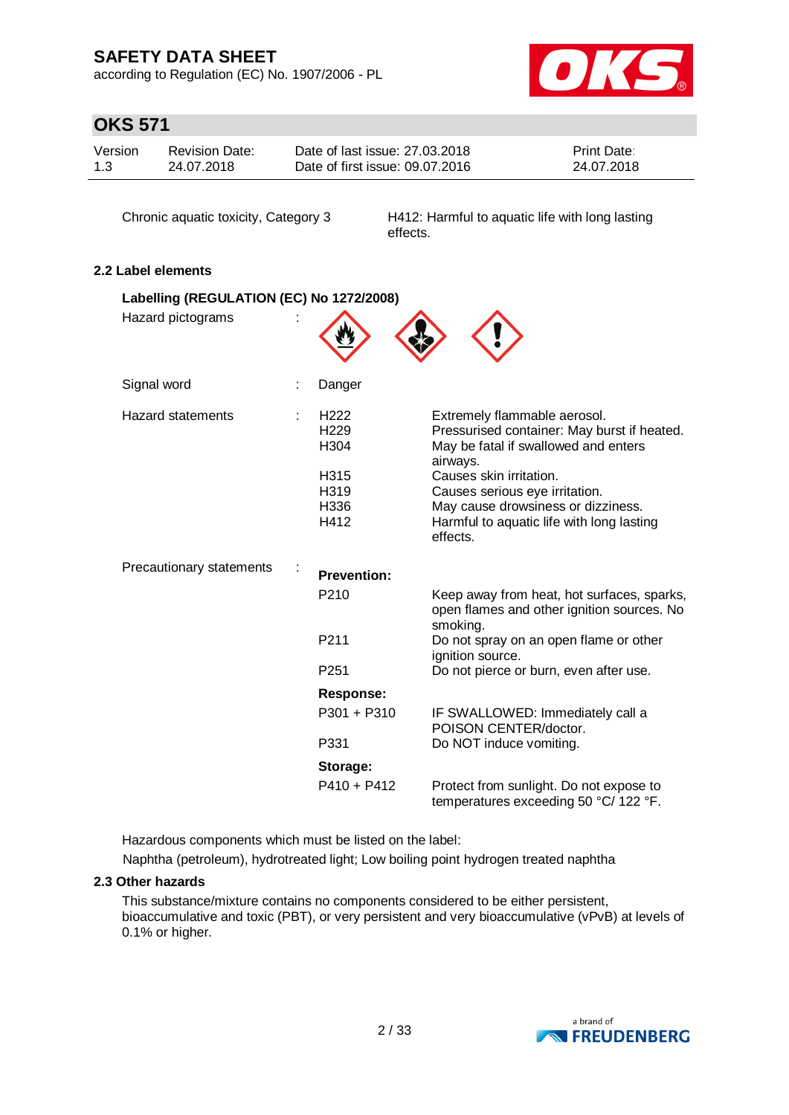according to Regulation (EC) No. 1907/2006 - PL



# **OKS 571**

| Version | <b>Revision Date:</b> | Date of last issue: 27,03,2018  | <b>Print Date:</b> |
|---------|-----------------------|---------------------------------|--------------------|
| 1.3     | 24.07.2018            | Date of first issue: 09.07.2016 | 24.07.2018         |

Chronic aquatic toxicity, Category 3 H412: Harmful to aquatic life with long lasting effects.

### **2.2 Label elements**

| Labelling (REGULATION (EC) No 1272/2008) |                                                                                          |                                                                                                                                                                                                                                                                                             |
|------------------------------------------|------------------------------------------------------------------------------------------|---------------------------------------------------------------------------------------------------------------------------------------------------------------------------------------------------------------------------------------------------------------------------------------------|
| Hazard pictograms                        |                                                                                          |                                                                                                                                                                                                                                                                                             |
| Signal word                              | Danger                                                                                   |                                                                                                                                                                                                                                                                                             |
| <b>Hazard statements</b>                 | H <sub>222</sub><br>H <sub>229</sub><br>H <sub>304</sub><br>H315<br>H319<br>H336<br>H412 | Extremely flammable aerosol.<br>Pressurised container: May burst if heated.<br>May be fatal if swallowed and enters<br>airways.<br>Causes skin irritation.<br>Causes serious eye irritation.<br>May cause drowsiness or dizziness.<br>Harmful to aquatic life with long lasting<br>effects. |
| Precautionary statements                 | <b>Prevention:</b>                                                                       |                                                                                                                                                                                                                                                                                             |
|                                          | P <sub>210</sub>                                                                         | Keep away from heat, hot surfaces, sparks,<br>open flames and other ignition sources. No<br>smoking.                                                                                                                                                                                        |
|                                          | P <sub>211</sub>                                                                         | Do not spray on an open flame or other<br>ignition source.                                                                                                                                                                                                                                  |
|                                          | P <sub>251</sub>                                                                         | Do not pierce or burn, even after use.                                                                                                                                                                                                                                                      |
|                                          | <b>Response:</b>                                                                         |                                                                                                                                                                                                                                                                                             |
|                                          | P301 + P310                                                                              | IF SWALLOWED: Immediately call a<br>POISON CENTER/doctor.                                                                                                                                                                                                                                   |
|                                          | P331                                                                                     | Do NOT induce vomiting.                                                                                                                                                                                                                                                                     |
|                                          | Storage:                                                                                 |                                                                                                                                                                                                                                                                                             |
|                                          | P410 + P412                                                                              | Protect from sunlight. Do not expose to<br>temperatures exceeding 50 °C/ 122 °F.                                                                                                                                                                                                            |

Hazardous components which must be listed on the label:

Naphtha (petroleum), hydrotreated light; Low boiling point hydrogen treated naphtha

### **2.3 Other hazards**

This substance/mixture contains no components considered to be either persistent, bioaccumulative and toxic (PBT), or very persistent and very bioaccumulative (vPvB) at levels of 0.1% or higher.

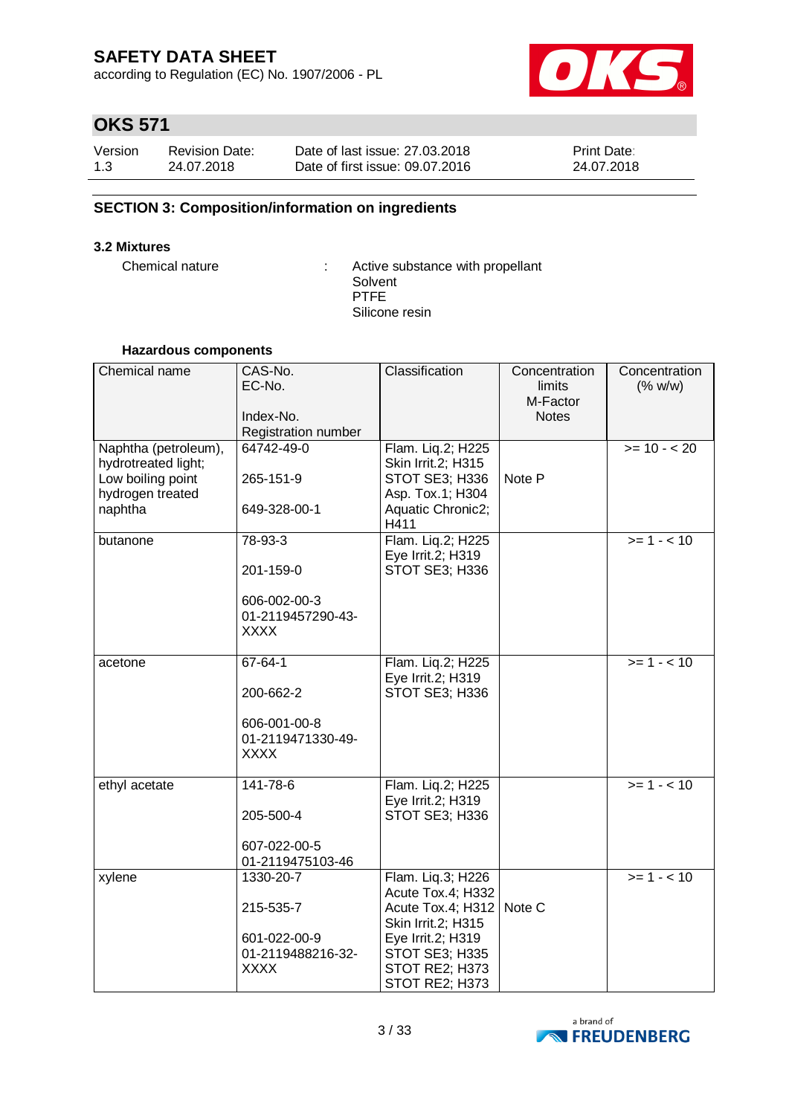according to Regulation (EC) No. 1907/2006 - PL



# **OKS 571**

| Version | <b>Revision Date:</b> | Date of last issue: 27,03,2018  | Print Date: |
|---------|-----------------------|---------------------------------|-------------|
| 1.3     | 24.07.2018            | Date of first issue: 09.07.2016 | 24.07.2018  |

### **SECTION 3: Composition/information on ingredients**

### **3.2 Mixtures**

Chemical nature : Active substance with propellant Solvent PTFE Silicone resin

### **Hazardous components**

| Chemical name                                                                                   | CAS-No.<br>EC-No.<br>Index-No.<br>Registration number                          | Classification                                                                                                                                               | Concentration<br>limits<br>M-Factor<br><b>Notes</b> | Concentration<br>(% w/w) |
|-------------------------------------------------------------------------------------------------|--------------------------------------------------------------------------------|--------------------------------------------------------------------------------------------------------------------------------------------------------------|-----------------------------------------------------|--------------------------|
| Naphtha (petroleum),<br>hydrotreated light;<br>Low boiling point<br>hydrogen treated<br>naphtha | 64742-49-0<br>265-151-9<br>649-328-00-1                                        | Flam. Liq.2; H225<br>Skin Irrit.2; H315<br>STOT SE3; H336<br>Asp. Tox.1; H304<br>Aquatic Chronic2;<br>H411                                                   | Note P                                              | $>= 10 - 20$             |
| butanone                                                                                        | 78-93-3<br>201-159-0<br>606-002-00-3<br>01-2119457290-43-<br><b>XXXX</b>       | Flam. Liq.2; H225<br>Eye Irrit.2; H319<br>STOT SE3; H336                                                                                                     |                                                     | $>= 1 - 10$              |
| acetone                                                                                         | $67 - 64 - 1$<br>200-662-2<br>606-001-00-8<br>01-2119471330-49-<br><b>XXXX</b> | Flam. Liq.2; H225<br>Eye Irrit.2; H319<br>STOT SE3; H336                                                                                                     |                                                     | $>= 1 - 10$              |
| ethyl acetate                                                                                   | 141-78-6<br>205-500-4<br>607-022-00-5<br>01-2119475103-46                      | Flam. Liq.2; H225<br>Eye Irrit.2; H319<br>STOT SE3; H336                                                                                                     |                                                     | $>= 1 - 10$              |
| xylene                                                                                          | 1330-20-7<br>215-535-7<br>601-022-00-9<br>01-2119488216-32-<br><b>XXXX</b>     | Flam. Liq.3; H226<br>Acute Tox.4; H332<br>Acute Tox.4; H312<br>Skin Irrit.2; H315<br>Eye Irrit.2; H319<br>STOT SE3; H335<br>STOT RE2; H373<br>STOT RE2; H373 | Note C                                              | $>= 1 - 10$              |

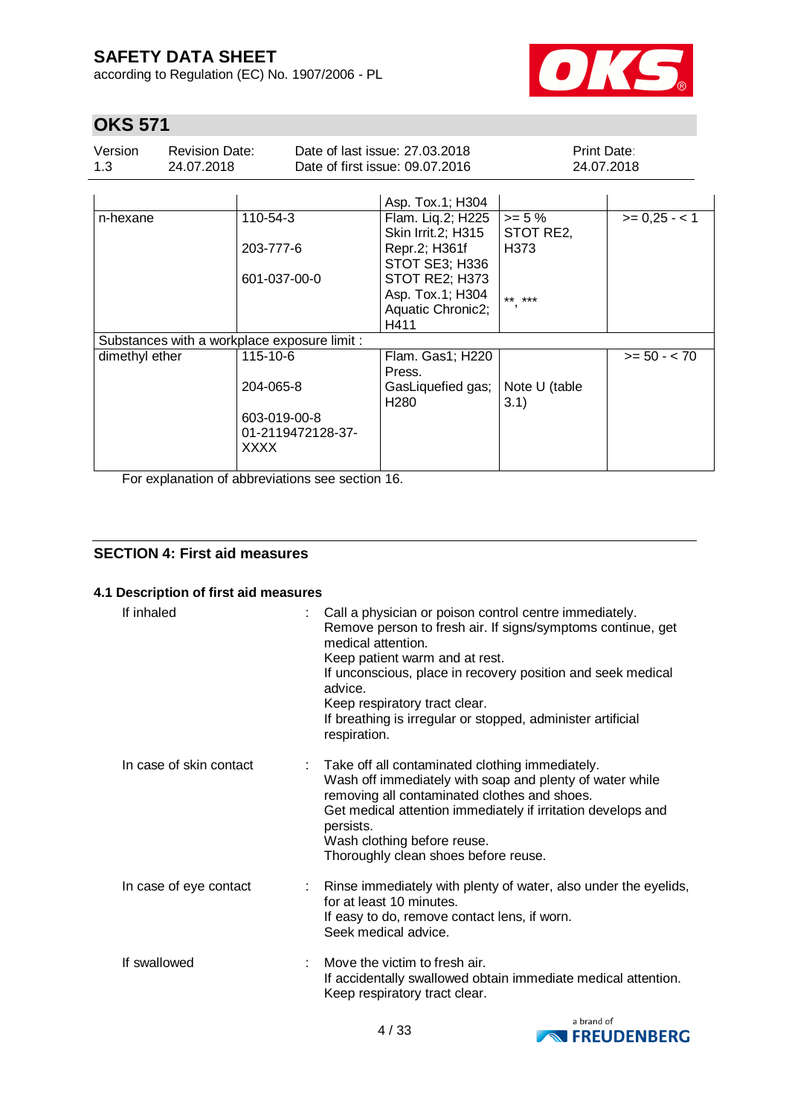according to Regulation (EC) No. 1907/2006 - PL



# **OKS 571**

| Version | Revision Date: | Date of last issue: 27,03,2018  | <b>Print Date:</b> |
|---------|----------------|---------------------------------|--------------------|
| 1.3     | 24.07.2018     | Date of first issue: 09.07.2016 | 24.07.2018         |

|                                              | Asp. Tox.1; H304                         |                                       |                |
|----------------------------------------------|------------------------------------------|---------------------------------------|----------------|
| 110-54-3                                     | Flam. Liq.2; H225<br>Skin Irrit. 2; H315 | $>= 5%$<br>STOT RE2,                  | $>= 0.25 - 1$  |
| 203-777-6                                    | Repr.2; H361f<br>STOT SE3; H336          | H373                                  |                |
| 601-037-00-0                                 | STOT RE2; H373                           |                                       |                |
|                                              | Asp. Tox.1; H304                         | ** ***                                |                |
|                                              |                                          |                                       |                |
|                                              | H411                                     |                                       |                |
| Substances with a workplace exposure limit : |                                          |                                       |                |
| 115-10-6                                     | Flam. Gas1; H220<br>Press.               |                                       | $>= 50 - < 70$ |
| 204-065-8                                    | GasLiquefied gas;                        | Note U (table                         |                |
| 603-019-00-8                                 |                                          |                                       |                |
| 01-2119472128-37-<br><b>XXXX</b>             |                                          |                                       |                |
|                                              |                                          | Aquatic Chronic2;<br>H <sub>280</sub> | 3.1)           |

For explanation of abbreviations see section 16.

### **SECTION 4: First aid measures**

### **4.1 Description of first aid measures**

| If inhaled              | Call a physician or poison control centre immediately.<br>medical attention.<br>Keep patient warm and at rest.<br>If unconscious, place in recovery position and seek medical<br>advice.<br>Keep respiratory tract clear.<br>If breathing is irregular or stopped, administer artificial<br>respiration.          | Remove person to fresh air. If signs/symptoms continue, get     |
|-------------------------|-------------------------------------------------------------------------------------------------------------------------------------------------------------------------------------------------------------------------------------------------------------------------------------------------------------------|-----------------------------------------------------------------|
| In case of skin contact | : Take off all contaminated clothing immediately.<br>Wash off immediately with soap and plenty of water while<br>removing all contaminated clothes and shoes.<br>Get medical attention immediately if irritation develops and<br>persists.<br>Wash clothing before reuse.<br>Thoroughly clean shoes before reuse. |                                                                 |
| In case of eye contact  | for at least 10 minutes.<br>If easy to do, remove contact lens, if worn.<br>Seek medical advice.                                                                                                                                                                                                                  | Rinse immediately with plenty of water, also under the eyelids, |
| If swallowed            | Move the victim to fresh air.<br>Keep respiratory tract clear.                                                                                                                                                                                                                                                    | If accidentally swallowed obtain immediate medical attention.   |

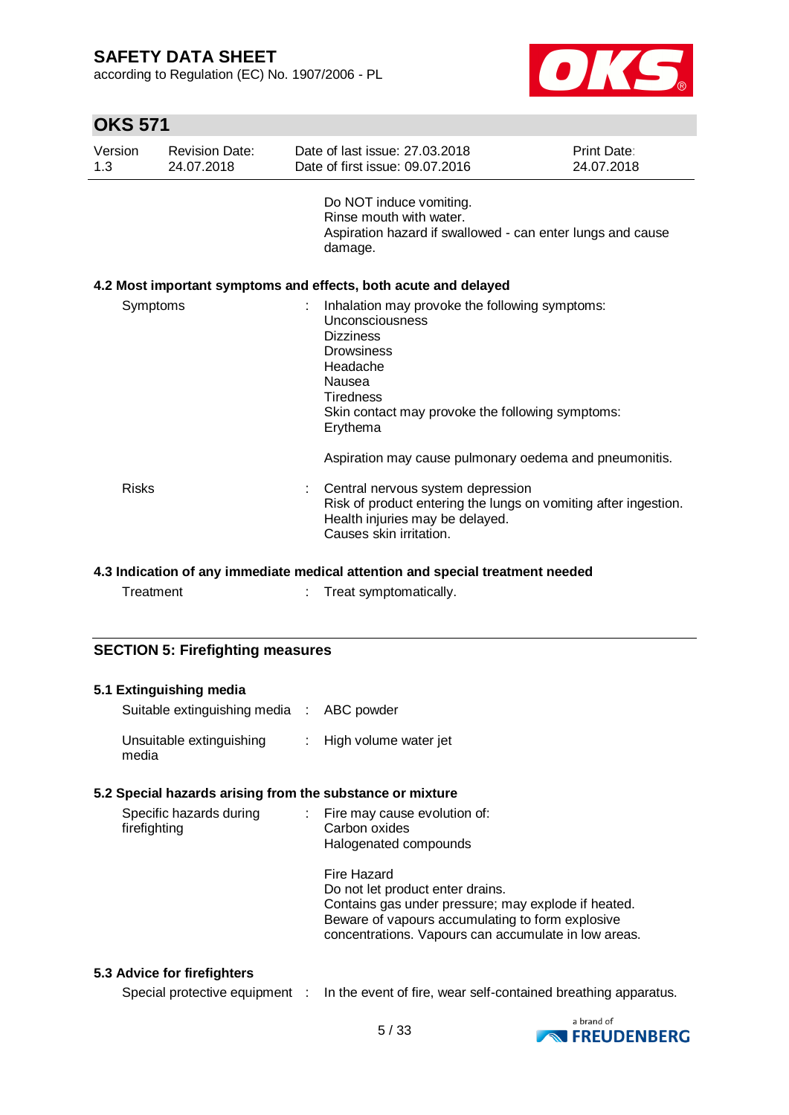according to Regulation (EC) No. 1907/2006 - PL



# **OKS 571**

| Version<br>1.3 | <b>Revision Date:</b><br>24.07.2018 | Date of last issue: 27,03,2018<br>Date of first issue: 09.07.2016                                                                                                                                                    | Print Date:<br>24.07.2018 |
|----------------|-------------------------------------|----------------------------------------------------------------------------------------------------------------------------------------------------------------------------------------------------------------------|---------------------------|
|                |                                     | Do NOT induce vomiting.<br>Rinse mouth with water.<br>Aspiration hazard if swallowed - can enter lungs and cause<br>damage.                                                                                          |                           |
|                |                                     | 4.2 Most important symptoms and effects, both acute and delayed                                                                                                                                                      |                           |
| Symptoms       |                                     | Inhalation may provoke the following symptoms:<br>Unconsciousness<br><b>Dizziness</b><br><b>Drowsiness</b><br>Headache<br>Nausea<br><b>Tiredness</b><br>Skin contact may provoke the following symptoms:<br>Erythema |                           |
|                |                                     | Aspiration may cause pulmonary oedema and pneumonitis.                                                                                                                                                               |                           |
| <b>Risks</b>   |                                     | : Central nervous system depression<br>Risk of product entering the lungs on vomiting after ingestion.<br>Health injuries may be delayed.<br>Causes skin irritation.                                                 |                           |

### **4.3 Indication of any immediate medical attention and special treatment needed**

Treatment : Treat symptomatically.

### **SECTION 5: Firefighting measures**

| 5.1 Extinguishing media                                   |                                                                                                          |
|-----------------------------------------------------------|----------------------------------------------------------------------------------------------------------|
| Suitable extinguishing media : ABC powder                 |                                                                                                          |
| Unsuitable extinguishing : High volume water jet<br>media |                                                                                                          |
| 5.2 Special hazards arising from the substance or mixture |                                                                                                          |
| Specific hazards during                                   | : Fire may cause evolution of:                                                                           |
| firefighting                                              | Carbon oxides                                                                                            |
|                                                           | Halogenated compounds                                                                                    |
|                                                           | Fire Hazard                                                                                              |
|                                                           | Do not let product enter drains.                                                                         |
|                                                           | Contains gas under pressure; may explode if heated.                                                      |
|                                                           | Beware of vapours accumulating to form explosive<br>concentrations. Vapours can accumulate in low areas. |
|                                                           |                                                                                                          |

### **5.3 Advice for firefighters**

| Special protective equipment : |  |  |  | In the event of fire, wear self-contained breathing apparatus. |
|--------------------------------|--|--|--|----------------------------------------------------------------|
|--------------------------------|--|--|--|----------------------------------------------------------------|

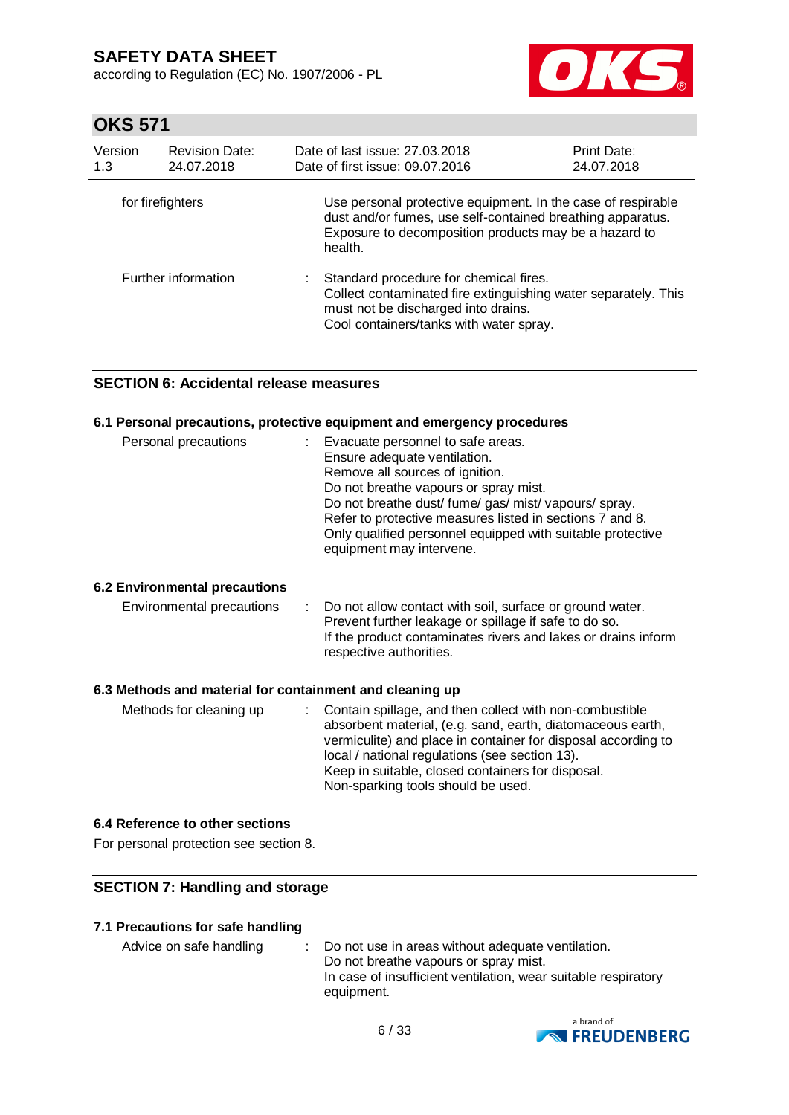according to Regulation (EC) No. 1907/2006 - PL



# **OKS 571**

| Version<br>1.3   | <b>Revision Date:</b><br>24.07.2018 | Date of last issue: 27,03,2018<br>Date of first issue: 09.07.2016                                                                                                                                | <b>Print Date:</b><br>24.07.2018 |
|------------------|-------------------------------------|--------------------------------------------------------------------------------------------------------------------------------------------------------------------------------------------------|----------------------------------|
| for firefighters |                                     | Use personal protective equipment. In the case of respirable<br>dust and/or fumes, use self-contained breathing apparatus.<br>Exposure to decomposition products may be a hazard to<br>health.   |                                  |
|                  | Further information                 | Standard procedure for chemical fires.<br>÷.<br>Collect contaminated fire extinguishing water separately. This<br>must not be discharged into drains.<br>Cool containers/tanks with water spray. |                                  |

### **SECTION 6: Accidental release measures**

### **6.1 Personal precautions, protective equipment and emergency procedures**

| Personal precautions | Evacuate personnel to safe areas.<br>Ensure adequate ventilation.<br>Remove all sources of ignition.<br>Do not breathe vapours or spray mist.<br>Do not breathe dust/ fume/ gas/ mist/ vapours/ spray.<br>Refer to protective measures listed in sections 7 and 8. |
|----------------------|--------------------------------------------------------------------------------------------------------------------------------------------------------------------------------------------------------------------------------------------------------------------|
|                      | Only qualified personnel equipped with suitable protective<br>equipment may intervene.                                                                                                                                                                             |

### **6.2 Environmental precautions**

| Environmental precautions | : Do not allow contact with soil, surface or ground water.    |
|---------------------------|---------------------------------------------------------------|
|                           | Prevent further leakage or spillage if safe to do so.         |
|                           | If the product contaminates rivers and lakes or drains inform |
|                           | respective authorities.                                       |

### **6.3 Methods and material for containment and cleaning up**

| Methods for cleaning up | : Contain spillage, and then collect with non-combustible<br>absorbent material, (e.g. sand, earth, diatomaceous earth,<br>vermiculite) and place in container for disposal according to<br>local / national regulations (see section 13).<br>Keep in suitable, closed containers for disposal.<br>Non-sparking tools should be used. |
|-------------------------|---------------------------------------------------------------------------------------------------------------------------------------------------------------------------------------------------------------------------------------------------------------------------------------------------------------------------------------|
|-------------------------|---------------------------------------------------------------------------------------------------------------------------------------------------------------------------------------------------------------------------------------------------------------------------------------------------------------------------------------|

#### **6.4 Reference to other sections**

For personal protection see section 8.

### **SECTION 7: Handling and storage**

### **7.1 Precautions for safe handling**

Advice on safe handling : Do not use in areas without adequate ventilation. Do not breathe vapours or spray mist. In case of insufficient ventilation, wear suitable respiratory equipment.

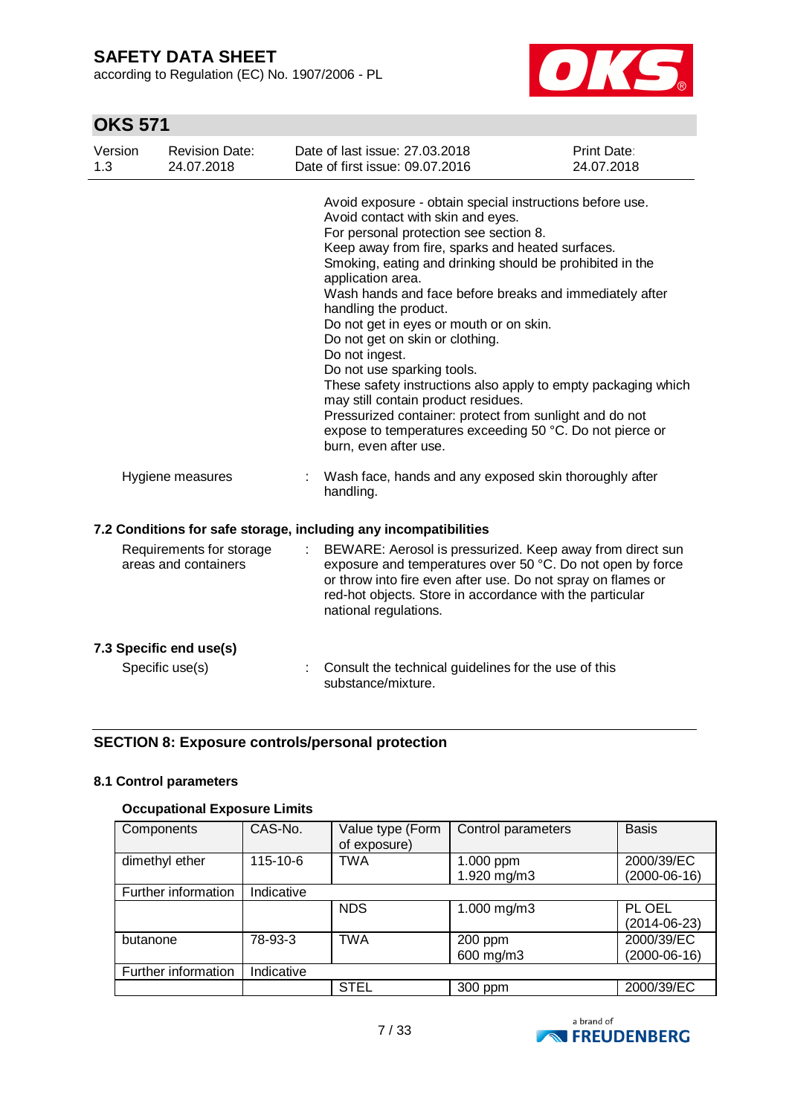according to Regulation (EC) No. 1907/2006 - PL



# **OKS 571**

| Version<br>1.3 | <b>Revision Date:</b><br>24.07.2018              | Date of last issue: 27.03.2018<br>Date of first issue: 09.07.2016                                                                                                                                                                                                                                                                                                                                                                                                                                                                                                                                                                                                                                                                                      | <b>Print Date:</b><br>24.07.2018 |
|----------------|--------------------------------------------------|--------------------------------------------------------------------------------------------------------------------------------------------------------------------------------------------------------------------------------------------------------------------------------------------------------------------------------------------------------------------------------------------------------------------------------------------------------------------------------------------------------------------------------------------------------------------------------------------------------------------------------------------------------------------------------------------------------------------------------------------------------|----------------------------------|
|                |                                                  | Avoid exposure - obtain special instructions before use.<br>Avoid contact with skin and eyes.<br>For personal protection see section 8.<br>Keep away from fire, sparks and heated surfaces.<br>Smoking, eating and drinking should be prohibited in the<br>application area.<br>Wash hands and face before breaks and immediately after<br>handling the product.<br>Do not get in eyes or mouth or on skin.<br>Do not get on skin or clothing.<br>Do not ingest.<br>Do not use sparking tools.<br>These safety instructions also apply to empty packaging which<br>may still contain product residues.<br>Pressurized container: protect from sunlight and do not<br>expose to temperatures exceeding 50 °C. Do not pierce or<br>burn, even after use. |                                  |
|                | Hygiene measures                                 | Wash face, hands and any exposed skin thoroughly after<br>handling.                                                                                                                                                                                                                                                                                                                                                                                                                                                                                                                                                                                                                                                                                    |                                  |
|                |                                                  | 7.2 Conditions for safe storage, including any incompatibilities                                                                                                                                                                                                                                                                                                                                                                                                                                                                                                                                                                                                                                                                                       |                                  |
|                | Requirements for storage<br>areas and containers | BEWARE: Aerosol is pressurized. Keep away from direct sun<br>exposure and temperatures over 50 °C. Do not open by force<br>or throw into fire even after use. Do not spray on flames or<br>red-hot objects. Store in accordance with the particular<br>national regulations.                                                                                                                                                                                                                                                                                                                                                                                                                                                                           |                                  |
|                | 7.3 Specific end use(s)                          |                                                                                                                                                                                                                                                                                                                                                                                                                                                                                                                                                                                                                                                                                                                                                        |                                  |
|                | Specific use(s)                                  | Consult the technical guidelines for the use of this<br>substance/mixture.                                                                                                                                                                                                                                                                                                                                                                                                                                                                                                                                                                                                                                                                             |                                  |

### **SECTION 8: Exposure controls/personal protection**

### **8.1 Control parameters**

### **Occupational Exposure Limits**

| Components          | CAS-No.        | Value type (Form<br>of exposure) | Control parameters | <b>Basis</b>   |
|---------------------|----------------|----------------------------------|--------------------|----------------|
| dimethyl ether      | $115 - 10 - 6$ | <b>TWA</b>                       | 1.000 ppm          | 2000/39/EC     |
|                     |                |                                  | 1.920 mg/m3        | $(2000-06-16)$ |
| Further information | Indicative     |                                  |                    |                |
|                     |                | <b>NDS</b>                       | 1.000 mg/m3        | PL OEL         |
|                     |                |                                  |                    | (2014-06-23)   |
| butanone            | 78-93-3        | <b>TWA</b>                       | 200 ppm            | 2000/39/EC     |
|                     |                |                                  | 600 mg/m3          | $(2000-06-16)$ |
| Further information | Indicative     |                                  |                    |                |
|                     |                | <b>STEL</b>                      | 300 ppm            | 2000/39/EC     |

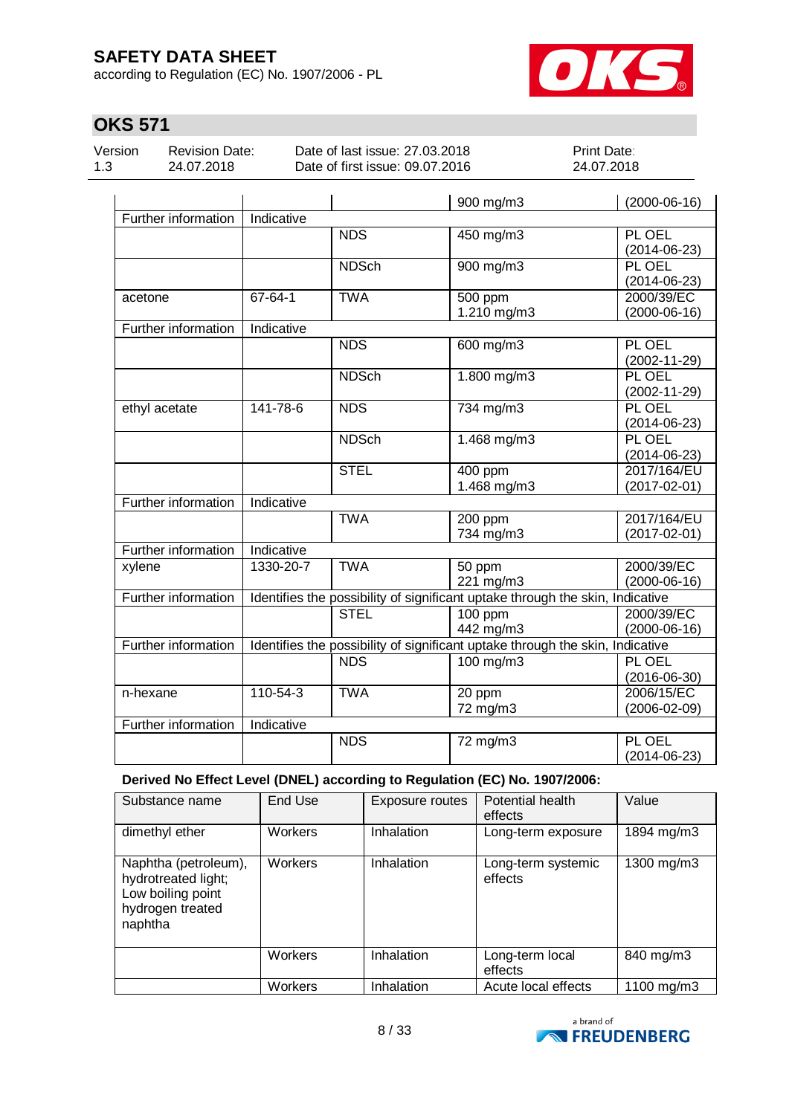according to Regulation (EC) No. 1907/2006 - PL



# **OKS 571**

Version 1.3

Revision Date: 24.07.2018

Date of last issue: 27.03.2018 Date of first issue: 09.07.2016 Print Date: 24.07.2018

|                     |            |              | 900 mg/m3                                                                     | $(2000-06-16)$                    |
|---------------------|------------|--------------|-------------------------------------------------------------------------------|-----------------------------------|
| Further information | Indicative |              |                                                                               |                                   |
|                     |            | <b>NDS</b>   | 450 mg/m3                                                                     | PL OEL<br>$(2014 - 06 - 23)$      |
|                     |            | <b>NDSch</b> | 900 mg/m3                                                                     | PL OEL<br>$(2014 - 06 - 23)$      |
| acetone             | 67-64-1    | <b>TWA</b>   | 500 ppm<br>1.210 mg/m3                                                        | 2000/39/EC<br>$(2000-06-16)$      |
| Further information | Indicative |              |                                                                               |                                   |
|                     |            | <b>NDS</b>   | 600 mg/m3                                                                     | PL OEL<br>$(2002 - 11 - 29)$      |
|                     |            | <b>NDSch</b> | $1.800$ mg/m $3$                                                              | PL OEL<br>$(2002 - 11 - 29)$      |
| ethyl acetate       | 141-78-6   | <b>NDS</b>   | 734 mg/m3                                                                     | PL OEL<br>$(2014 - 06 - 23)$      |
|                     |            | <b>NDSch</b> | 1.468 mg/m3                                                                   | PL OEL<br>$(2014 - 06 - 23)$      |
|                     |            | <b>STEL</b>  | 400 ppm<br>1.468 mg/m3                                                        | 2017/164/EU<br>$(2017 - 02 - 01)$ |
| Further information | Indicative |              |                                                                               |                                   |
|                     |            | <b>TWA</b>   | 200 ppm<br>734 mg/m3                                                          | 2017/164/EU<br>$(2017 - 02 - 01)$ |
| Further information | Indicative |              |                                                                               |                                   |
| xylene              | 1330-20-7  | <b>TWA</b>   | 50 ppm<br>221 mg/m3                                                           | 2000/39/EC<br>$(2000-06-16)$      |
| Further information |            |              | Identifies the possibility of significant uptake through the skin, Indicative |                                   |
|                     |            | <b>STEL</b>  | $100$ ppm<br>442 mg/m3                                                        | 2000/39/EC<br>$(2000-06-16)$      |
| Further information |            |              | Identifies the possibility of significant uptake through the skin, Indicative |                                   |
|                     |            | <b>NDS</b>   | $\frac{100 \text{ mg}}{m}$                                                    | PL OEL<br>$(2016 - 06 - 30)$      |
| n-hexane            | 110-54-3   | <b>TWA</b>   | 20 ppm<br>72 mg/m3                                                            | 2006/15/EC<br>$(2006 - 02 - 09)$  |
| Further information | Indicative |              |                                                                               |                                   |
|                     |            | <b>NDS</b>   | 72 mg/m3                                                                      | PL OEL<br>$(2014 - 06 - 23)$      |

**Derived No Effect Level (DNEL) according to Regulation (EC) No. 1907/2006:**

| Substance name                                                                                  | End Use        | Exposure routes   | Potential health<br>effects   | Value         |
|-------------------------------------------------------------------------------------------------|----------------|-------------------|-------------------------------|---------------|
| dimethyl ether                                                                                  | <b>Workers</b> | Inhalation        | Long-term exposure            | 1894 mg/m3    |
| Naphtha (petroleum),<br>hydrotreated light;<br>Low boiling point<br>hydrogen treated<br>naphtha | Workers        | <b>Inhalation</b> | Long-term systemic<br>effects | 1300 mg/m3    |
|                                                                                                 | Workers        | Inhalation        | Long-term local<br>effects    | 840 mg/m3     |
|                                                                                                 | Workers        | Inhalation        | Acute local effects           | 1100 mg/m $3$ |

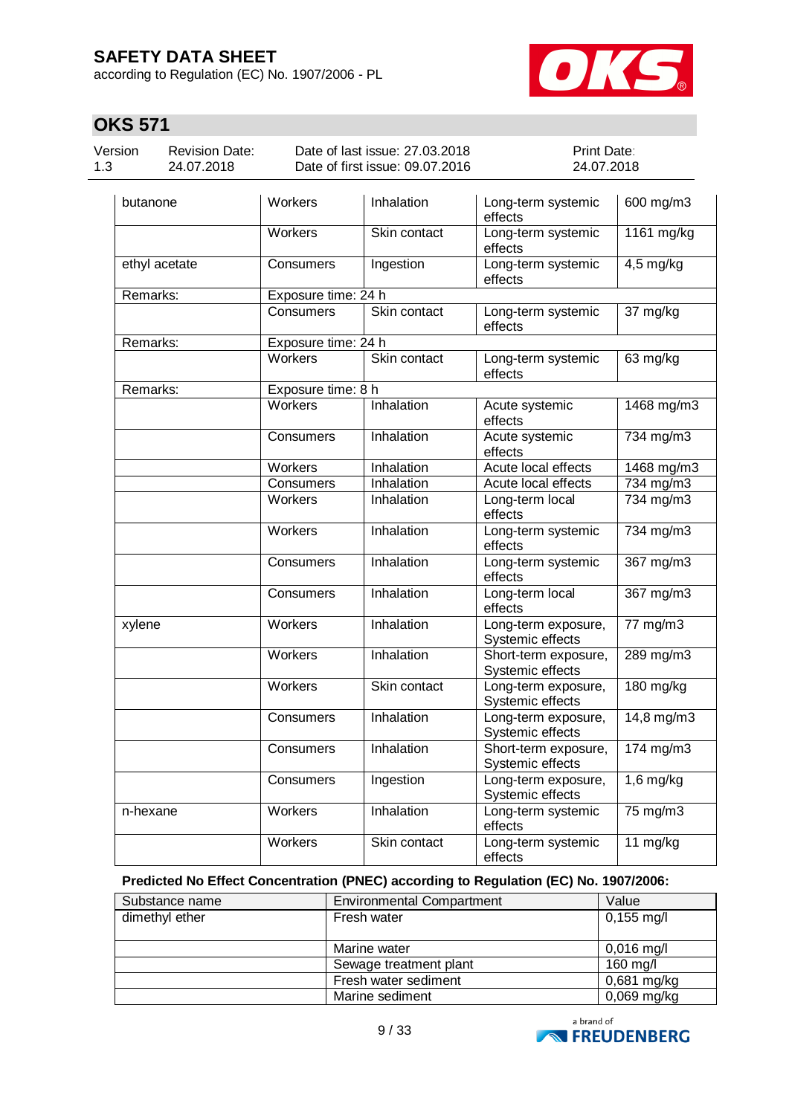according to Regulation (EC) No. 1907/2006 - PL



# **OKS 571**

| Version |  |
|---------|--|
| 1.3     |  |

Revision Date: 24.07.2018

Date of last issue: 27.03.2018 Date of first issue: 09.07.2016 Print Date: 24.07.2018

| butanone      | Workers             | Inhalation   | Long-term systemic<br>effects            | 600 mg/m3                    |
|---------------|---------------------|--------------|------------------------------------------|------------------------------|
|               | <b>Workers</b>      | Skin contact | Long-term systemic<br>effects            | 1161 mg/kg                   |
| ethyl acetate | Consumers           | Ingestion    | Long-term systemic<br>effects            | $4,5$ mg/kg                  |
| Remarks:      | Exposure time: 24 h |              |                                          |                              |
|               | <b>Consumers</b>    | Skin contact | Long-term systemic<br>effects            | 37 mg/kg                     |
| Remarks:      | Exposure time: 24 h |              |                                          |                              |
|               | Workers             | Skin contact | Long-term systemic<br>effects            | 63 mg/kg                     |
| Remarks:      | Exposure time: 8 h  |              |                                          |                              |
|               | Workers             | Inhalation   | Acute systemic<br>effects                | 1468 mg/m3                   |
|               | Consumers           | Inhalation   | Acute systemic<br>effects                | 734 mg/m3                    |
|               | Workers             | Inhalation   | Acute local effects                      | 1468 mg/m3                   |
|               | Consumers           | Inhalation   | Acute local effects                      | $734 \text{ mg/m}$ 3         |
|               | <b>Workers</b>      | Inhalation   | Long-term local<br>effects               | 734 mg/m3                    |
|               | <b>Workers</b>      | Inhalation   | Long-term systemic<br>effects            | 734 mg/m3                    |
|               | Consumers           | Inhalation   | Long-term systemic<br>effects            | 367 mg/m3                    |
|               | Consumers           | Inhalation   | Long-term local<br>effects               | $\frac{367 \text{ mg}}{m}$ 3 |
| xylene        | <b>Workers</b>      | Inhalation   | Long-term exposure,<br>Systemic effects  | $77 \text{ mg/m}$            |
|               | Workers             | Inhalation   | Short-term exposure,<br>Systemic effects | 289 mg/m3                    |
|               | Workers             | Skin contact | Long-term exposure,<br>Systemic effects  | 180 mg/kg                    |
|               | Consumers           | Inhalation   | Long-term exposure,<br>Systemic effects  | $14,8$ mg/m $3$              |
|               | Consumers           | Inhalation   | Short-term exposure,<br>Systemic effects | $174$ mg/m3                  |
|               | Consumers           | Ingestion    | Long-term exposure,<br>Systemic effects  | $1,6$ mg/kg                  |
| n-hexane      | Workers             | Inhalation   | Long-term systemic<br>effects            | $75 \text{ mg/m}$            |
|               | <b>Workers</b>      | Skin contact | Long-term systemic<br>effects            | 11 mg/kg                     |

### **Predicted No Effect Concentration (PNEC) according to Regulation (EC) No. 1907/2006:**

| Substance name | <b>Environmental Compartment</b> | Value                |
|----------------|----------------------------------|----------------------|
| dimethyl ether | Fresh water                      | $0,155 \text{ mg/l}$ |
|                |                                  |                      |
|                | Marine water                     | $0,016$ mg/l         |
|                | Sewage treatment plant           | 160 mg/l             |
|                | Fresh water sediment             | $0,681$ mg/kg        |
|                | Marine sediment                  | $0,069$ mg/kg        |

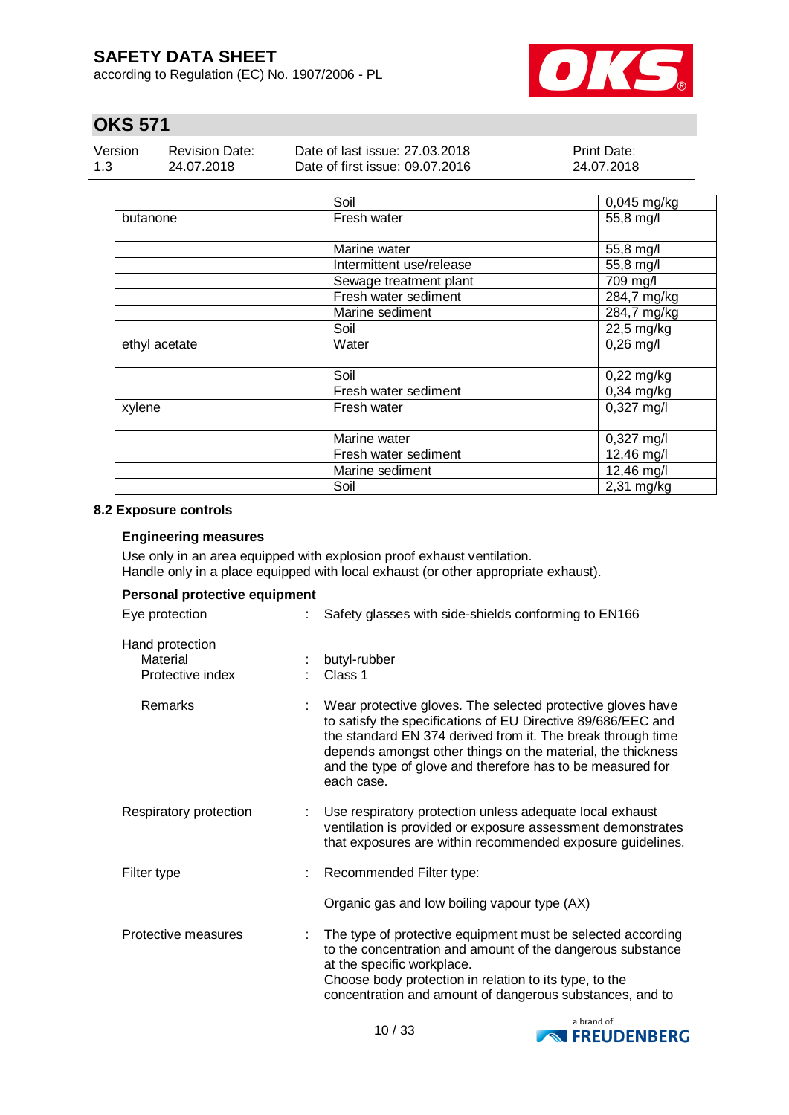according to Regulation (EC) No. 1907/2006 - PL



# **OKS 571**

| Version | Revision Date: | Date of last issue: 27,03,2018  | <b>Print Date:</b> |
|---------|----------------|---------------------------------|--------------------|
| 1.3     | 24.07.2018     | Date of first issue: 09.07.2016 | 24.07.2018         |

|               | Soil                     | 0,045 mg/kg  |
|---------------|--------------------------|--------------|
| butanone      | Fresh water              | 55,8 mg/l    |
|               | Marine water             | 55,8 mg/l    |
|               | Intermittent use/release | 55,8 mg/l    |
|               | Sewage treatment plant   | 709 mg/l     |
|               | Fresh water sediment     | 284,7 mg/kg  |
|               | Marine sediment          | 284,7 mg/kg  |
|               | Soil                     | 22,5 mg/kg   |
| ethyl acetate | Water                    | $0,26$ mg/l  |
|               | Soil                     | $0,22$ mg/kg |
|               | Fresh water sediment     | $0,34$ mg/kg |
| xylene        | Fresh water              | $0,327$ mg/l |
|               | Marine water             | $0,327$ mg/l |
|               | Fresh water sediment     | 12,46 mg/l   |
|               | Marine sediment          | $12,46$ mg/l |
|               | Soil                     | 2,31 mg/kg   |

### **8.2 Exposure controls**

### **Engineering measures**

Use only in an area equipped with explosion proof exhaust ventilation. Handle only in a place equipped with local exhaust (or other appropriate exhaust).

| Personal protective equipment                   |  |                                                                                                                                                                                                                                                                                                                                       |  |  |
|-------------------------------------------------|--|---------------------------------------------------------------------------------------------------------------------------------------------------------------------------------------------------------------------------------------------------------------------------------------------------------------------------------------|--|--|
| Eye protection                                  |  | Safety glasses with side-shields conforming to EN166                                                                                                                                                                                                                                                                                  |  |  |
| Hand protection<br>Material<br>Protective index |  | butyl-rubber<br>Class 1                                                                                                                                                                                                                                                                                                               |  |  |
| Remarks                                         |  | Wear protective gloves. The selected protective gloves have<br>to satisfy the specifications of EU Directive 89/686/EEC and<br>the standard EN 374 derived from it. The break through time<br>depends amongst other things on the material, the thickness<br>and the type of glove and therefore has to be measured for<br>each case. |  |  |
| Respiratory protection                          |  | Use respiratory protection unless adequate local exhaust<br>ventilation is provided or exposure assessment demonstrates<br>that exposures are within recommended exposure guidelines.                                                                                                                                                 |  |  |
| Filter type                                     |  | Recommended Filter type:                                                                                                                                                                                                                                                                                                              |  |  |
|                                                 |  | Organic gas and low boiling vapour type (AX)                                                                                                                                                                                                                                                                                          |  |  |
| Protective measures                             |  | The type of protective equipment must be selected according<br>to the concentration and amount of the dangerous substance<br>at the specific workplace.<br>Choose body protection in relation to its type, to the<br>concentration and amount of dangerous substances, and to                                                         |  |  |

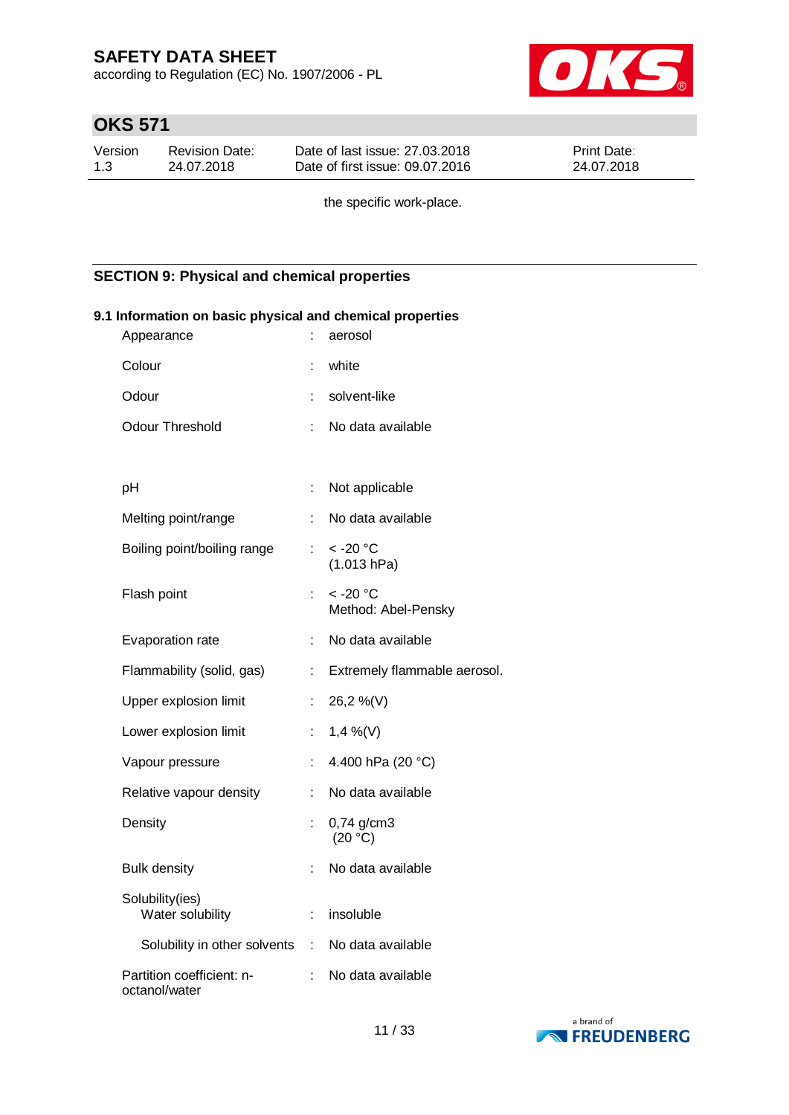according to Regulation (EC) No. 1907/2006 - PL



# **OKS 571**

| Version | Revision Date: | Date of last issue: 27,03,2018  | <b>Print Date:</b> |
|---------|----------------|---------------------------------|--------------------|
| 1.3     | 24.07.2018     | Date of first issue: 09.07.2016 | 24.07.2018         |

the specific work-place.

### **SECTION 9: Physical and chemical properties**

| 9.1 Information on basic physical and chemical properties<br>Appearance |                           | aerosol                                     |
|-------------------------------------------------------------------------|---------------------------|---------------------------------------------|
| Colour                                                                  | t                         | white                                       |
| Odour                                                                   | ÷                         | solvent-like                                |
| <b>Odour Threshold</b>                                                  | ÷                         | No data available                           |
|                                                                         |                           |                                             |
| pH                                                                      | ÷                         | Not applicable                              |
| Melting point/range                                                     | ÷.                        | No data available                           |
| Boiling point/boiling range                                             | ÷                         | $<$ -20 $^{\circ}$ C<br>(1.013 hPa)         |
| Flash point                                                             | ÷                         | $<$ -20 $^{\circ}$ C<br>Method: Abel-Pensky |
| Evaporation rate                                                        | ÷.                        | No data available                           |
| Flammability (solid, gas)                                               | t.                        | Extremely flammable aerosol.                |
| Upper explosion limit                                                   | ÷.                        | 26,2 %(V)                                   |
| Lower explosion limit                                                   | $\mathbb{R}^{\mathbb{Z}}$ | 1,4 %(V)                                    |
| Vapour pressure                                                         | ÷                         | 4.400 hPa (20 °C)                           |
| Relative vapour density                                                 | t.                        | No data available                           |
| Density                                                                 | t,                        | $0,74$ g/cm3<br>(20 °C)                     |
| <b>Bulk density</b>                                                     | ÷                         | No data available                           |
| Solubility(ies)<br>Water solubility                                     | ÷.                        | insoluble                                   |
| Solubility in other solvents : No data available                        |                           |                                             |
| Partition coefficient: n-<br>octanol/water                              |                           | No data available                           |

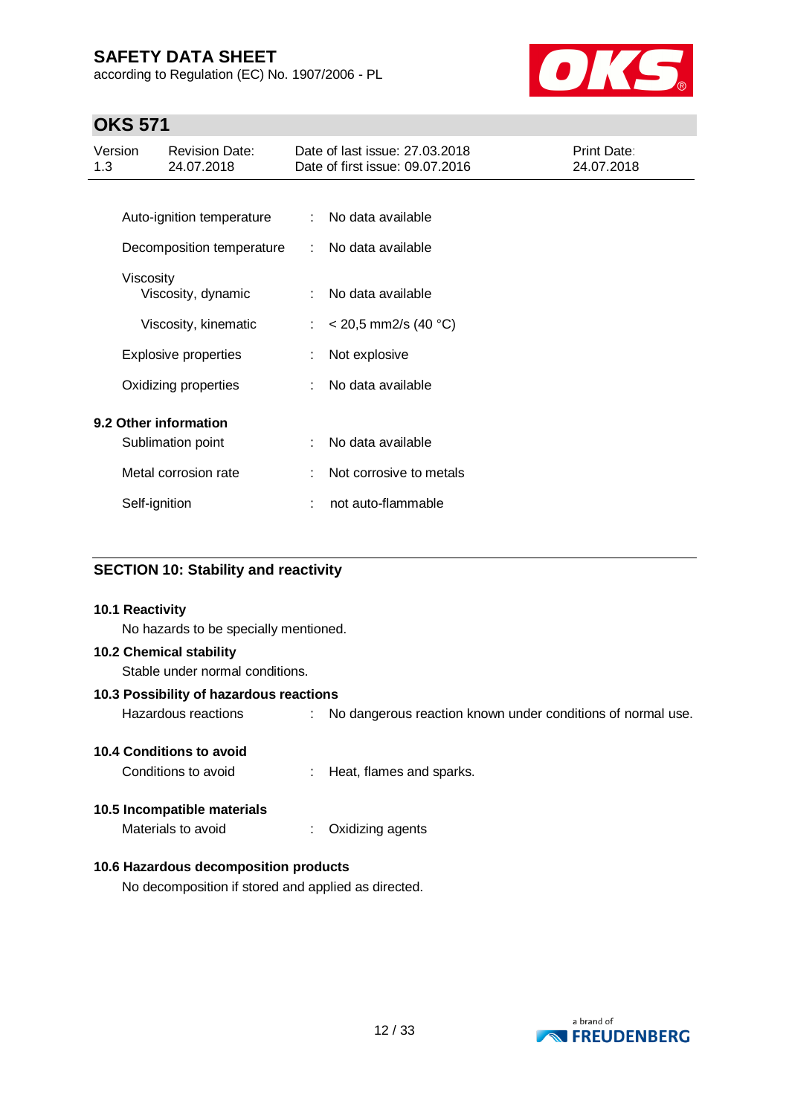according to Regulation (EC) No. 1907/2006 - PL



# **OKS 571**

| Version<br>1.3 | <b>Revision Date:</b><br>24.07.2018 |    | Date of last issue: 27.03.2018<br>Date of first issue: 09.07.2016 | Print Date:<br>24.07.2018 |
|----------------|-------------------------------------|----|-------------------------------------------------------------------|---------------------------|
|                |                                     |    |                                                                   |                           |
|                | Auto-ignition temperature           | ÷  | No data available                                                 |                           |
|                | Decomposition temperature           | ÷  | No data available                                                 |                           |
| Viscosity      |                                     |    |                                                                   |                           |
|                | Viscosity, dynamic                  | ÷  | No data available                                                 |                           |
|                | Viscosity, kinematic                | ÷. | $<$ 20,5 mm2/s (40 °C)                                            |                           |
|                | <b>Explosive properties</b>         |    | Not explosive                                                     |                           |
|                | Oxidizing properties                |    | No data available                                                 |                           |
|                | 9.2 Other information               |    |                                                                   |                           |
|                | Sublimation point                   |    | No data available                                                 |                           |
|                | Metal corrosion rate                |    | Not corrosive to metals                                           |                           |
|                | Self-ignition                       |    | not auto-flammable                                                |                           |

### **SECTION 10: Stability and reactivity**

### **10.1 Reactivity**

No hazards to be specially mentioned.

#### **10.2 Chemical stability**

Stable under normal conditions.

### **10.3 Possibility of hazardous reactions**

Hazardous reactions : No dangerous reaction known under conditions of normal use.

### **10.4 Conditions to avoid**

Conditions to avoid : Heat, flames and sparks.

### **10.5 Incompatible materials**

Materials to avoid : Oxidizing agents

### **10.6 Hazardous decomposition products**

No decomposition if stored and applied as directed.

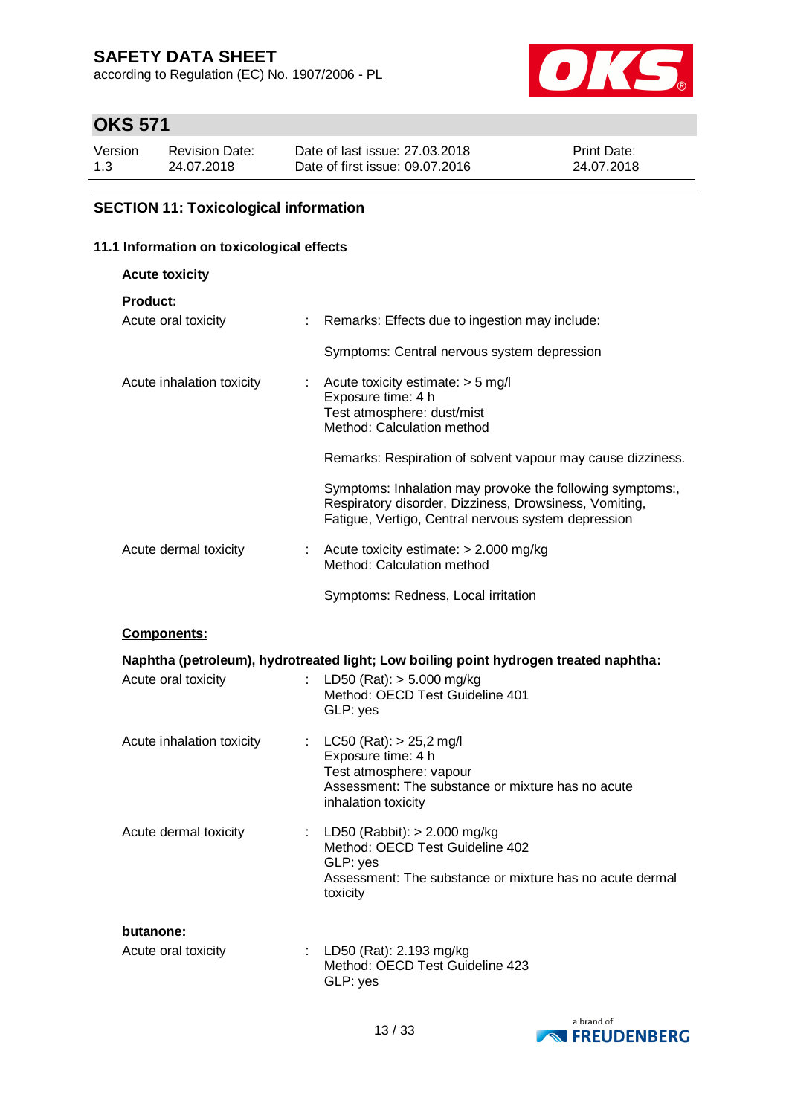according to Regulation (EC) No. 1907/2006 - PL



# **OKS 571**

| Version | Revision Date: | Date of last issue: 27,03,2018  | Print Date: |
|---------|----------------|---------------------------------|-------------|
| 1.3     | 24.07.2018     | Date of first issue: 09.07.2016 | 24.07.2018  |

### **SECTION 11: Toxicological information**

### **11.1 Information on toxicological effects**

| 1 Information on toxicological effects |                                                                                                                                                                            |  |  |  |
|----------------------------------------|----------------------------------------------------------------------------------------------------------------------------------------------------------------------------|--|--|--|
| <b>Acute toxicity</b>                  |                                                                                                                                                                            |  |  |  |
| Product:<br>Acute oral toxicity        | Remarks: Effects due to ingestion may include:<br>÷                                                                                                                        |  |  |  |
|                                        | Symptoms: Central nervous system depression                                                                                                                                |  |  |  |
| Acute inhalation toxicity              | Acute toxicity estimate: > 5 mg/l<br>÷<br>Exposure time: 4 h<br>Test atmosphere: dust/mist<br>Method: Calculation method                                                   |  |  |  |
|                                        | Remarks: Respiration of solvent vapour may cause dizziness.                                                                                                                |  |  |  |
|                                        | Symptoms: Inhalation may provoke the following symptoms:,<br>Respiratory disorder, Dizziness, Drowsiness, Vomiting,<br>Fatigue, Vertigo, Central nervous system depression |  |  |  |
| Acute dermal toxicity                  | Acute toxicity estimate: > 2.000 mg/kg<br>Method: Calculation method                                                                                                       |  |  |  |
|                                        | Symptoms: Redness, Local irritation                                                                                                                                        |  |  |  |
| <b>Components:</b>                     |                                                                                                                                                                            |  |  |  |
| Acute oral toxicity                    | Naphtha (petroleum), hydrotreated light; Low boiling point hydrogen treated naphtha:<br>LD50 (Rat): $> 5.000$ mg/kg<br>Method: OECD Test Guideline 401<br>GLP: yes         |  |  |  |
| Acute inhalation toxicity              | LC50 (Rat): $> 25,2$ mg/l<br>÷<br>Exposure time: 4 h<br>Test atmosphere: vapour<br>Assessment: The substance or mixture has no acute<br>inhalation toxicity                |  |  |  |
| Acute dermal toxicity                  | LD50 (Rabbit): $> 2.000$ mg/kg<br>Method: OECD Test Guideline 402<br>GLP: yes<br>Assessment: The substance or mixture has no acute dermal<br>toxicity                      |  |  |  |

#### **butanone:**

| Acute oral toxicity | : LD50 (Rat): 2.193 mg/kg       |
|---------------------|---------------------------------|
|                     | Method: OECD Test Guideline 423 |
|                     | GLP: yes                        |

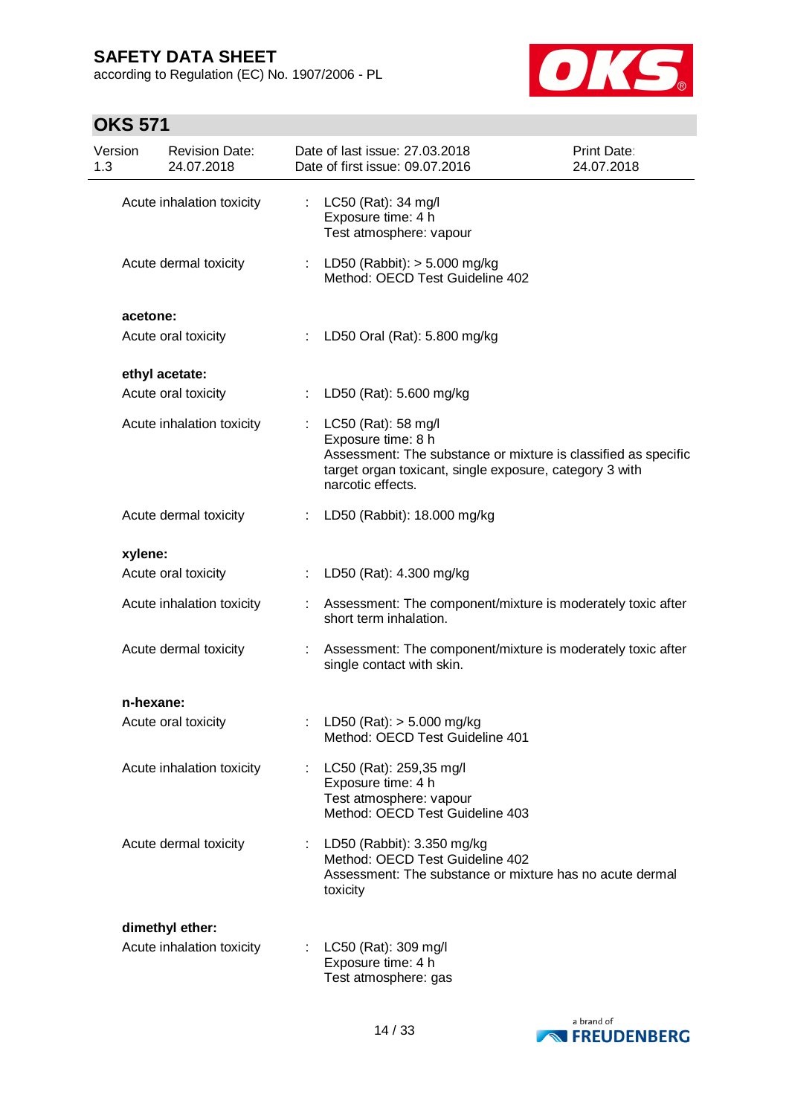according to Regulation (EC) No. 1907/2006 - PL



| Version<br>1.3 | <b>Revision Date:</b><br>24.07.2018 |    | Date of last issue: 27.03.2018<br>Date of first issue: 09.07.2016                                                                                                                           | Print Date:<br>24.07.2018 |
|----------------|-------------------------------------|----|---------------------------------------------------------------------------------------------------------------------------------------------------------------------------------------------|---------------------------|
|                | Acute inhalation toxicity           | ÷  | LC50 (Rat): 34 mg/l<br>Exposure time: 4 h<br>Test atmosphere: vapour                                                                                                                        |                           |
|                | Acute dermal toxicity               | ÷. | LD50 (Rabbit): > 5.000 mg/kg<br>Method: OECD Test Guideline 402                                                                                                                             |                           |
| acetone:       |                                     |    |                                                                                                                                                                                             |                           |
|                | Acute oral toxicity                 | ÷. | LD50 Oral (Rat): 5.800 mg/kg                                                                                                                                                                |                           |
|                | ethyl acetate:                      |    |                                                                                                                                                                                             |                           |
|                | Acute oral toxicity                 | ÷  | LD50 (Rat): 5.600 mg/kg                                                                                                                                                                     |                           |
|                | Acute inhalation toxicity           | t, | LC50 (Rat): 58 mg/l<br>Exposure time: 8 h<br>Assessment: The substance or mixture is classified as specific<br>target organ toxicant, single exposure, category 3 with<br>narcotic effects. |                           |
|                | Acute dermal toxicity               |    | : LD50 (Rabbit): 18.000 mg/kg                                                                                                                                                               |                           |
| xylene:        |                                     |    |                                                                                                                                                                                             |                           |
|                | Acute oral toxicity                 | ÷  | LD50 (Rat): 4.300 mg/kg                                                                                                                                                                     |                           |
|                | Acute inhalation toxicity           |    | Assessment: The component/mixture is moderately toxic after<br>short term inhalation.                                                                                                       |                           |
|                | Acute dermal toxicity               |    | Assessment: The component/mixture is moderately toxic after<br>single contact with skin.                                                                                                    |                           |
| n-hexane:      |                                     |    |                                                                                                                                                                                             |                           |
|                | Acute oral toxicity                 |    | LD50 (Rat): $> 5.000$ mg/kg<br>Method: OECD Test Guideline 401                                                                                                                              |                           |
|                | Acute inhalation toxicity           |    | LC50 (Rat): 259,35 mg/l<br>Exposure time: 4 h<br>Test atmosphere: vapour<br>Method: OECD Test Guideline 403                                                                                 |                           |
|                | Acute dermal toxicity               | ÷  | LD50 (Rabbit): 3.350 mg/kg<br>Method: OECD Test Guideline 402<br>Assessment: The substance or mixture has no acute dermal<br>toxicity                                                       |                           |
|                | dimethyl ether:                     |    |                                                                                                                                                                                             |                           |
|                | Acute inhalation toxicity           |    | LC50 (Rat): 309 mg/l<br>Exposure time: 4 h<br>Test atmosphere: gas                                                                                                                          |                           |

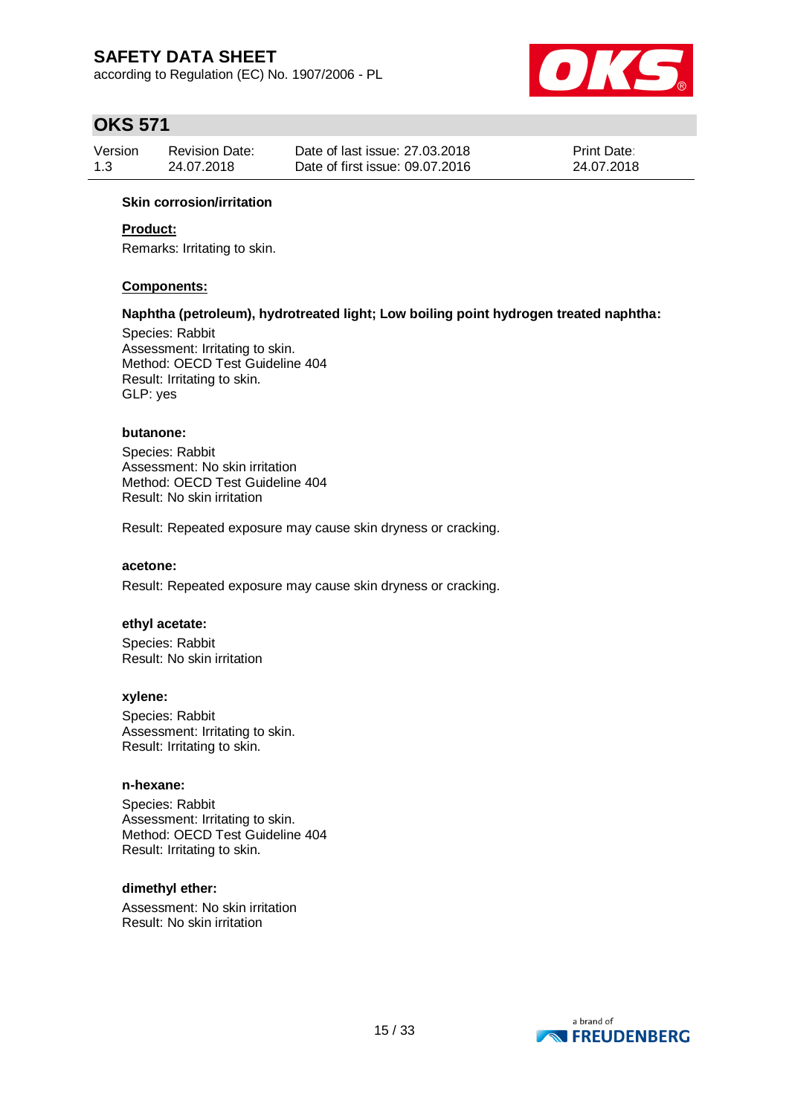according to Regulation (EC) No. 1907/2006 - PL



# **OKS 571**

| Version | <b>Revision Date:</b> | Date of last issue: 27,03,2018  | <b>Print Date:</b> |
|---------|-----------------------|---------------------------------|--------------------|
| 1.3     | 24.07.2018            | Date of first issue: 09.07.2016 | 24.07.2018         |

### **Skin corrosion/irritation**

### **Product:**

Remarks: Irritating to skin.

### **Components:**

#### **Naphtha (petroleum), hydrotreated light; Low boiling point hydrogen treated naphtha:**

Species: Rabbit Assessment: Irritating to skin. Method: OECD Test Guideline 404 Result: Irritating to skin. GLP: yes

### **butanone:**

Species: Rabbit Assessment: No skin irritation Method: OECD Test Guideline 404 Result: No skin irritation

Result: Repeated exposure may cause skin dryness or cracking.

#### **acetone:**

Result: Repeated exposure may cause skin dryness or cracking.

#### **ethyl acetate:**

Species: Rabbit Result: No skin irritation

#### **xylene:**

Species: Rabbit Assessment: Irritating to skin. Result: Irritating to skin.

#### **n-hexane:**

Species: Rabbit Assessment: Irritating to skin. Method: OECD Test Guideline 404 Result: Irritating to skin.

#### **dimethyl ether:**

Assessment: No skin irritation Result: No skin irritation

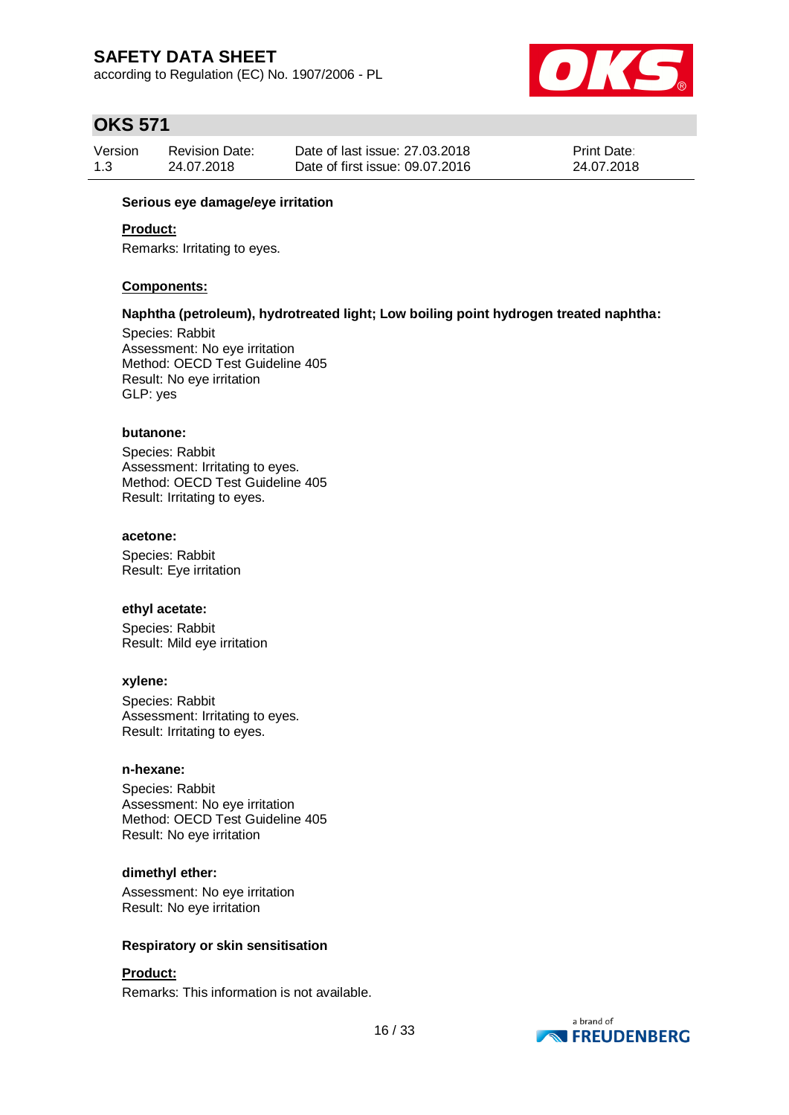according to Regulation (EC) No. 1907/2006 - PL



# **OKS 571**

| Version | <b>Revision Date:</b> | Date of last issue: 27,03,2018  | <b>Print Date:</b> |
|---------|-----------------------|---------------------------------|--------------------|
| 1.3     | 24.07.2018            | Date of first issue: 09.07.2016 | 24.07.2018         |

### **Serious eye damage/eye irritation**

### **Product:**

Remarks: Irritating to eyes.

#### **Components:**

#### **Naphtha (petroleum), hydrotreated light; Low boiling point hydrogen treated naphtha:**

Species: Rabbit Assessment: No eye irritation Method: OECD Test Guideline 405 Result: No eye irritation GLP: yes

### **butanone:**

Species: Rabbit Assessment: Irritating to eyes. Method: OECD Test Guideline 405 Result: Irritating to eyes.

#### **acetone:**

Species: Rabbit Result: Eye irritation

#### **ethyl acetate:**

Species: Rabbit Result: Mild eye irritation

#### **xylene:**

Species: Rabbit Assessment: Irritating to eyes. Result: Irritating to eyes.

#### **n-hexane:**

Species: Rabbit Assessment: No eye irritation Method: OECD Test Guideline 405 Result: No eye irritation

#### **dimethyl ether:**

Assessment: No eye irritation Result: No eye irritation

#### **Respiratory or skin sensitisation**

### **Product:**

Remarks: This information is not available.

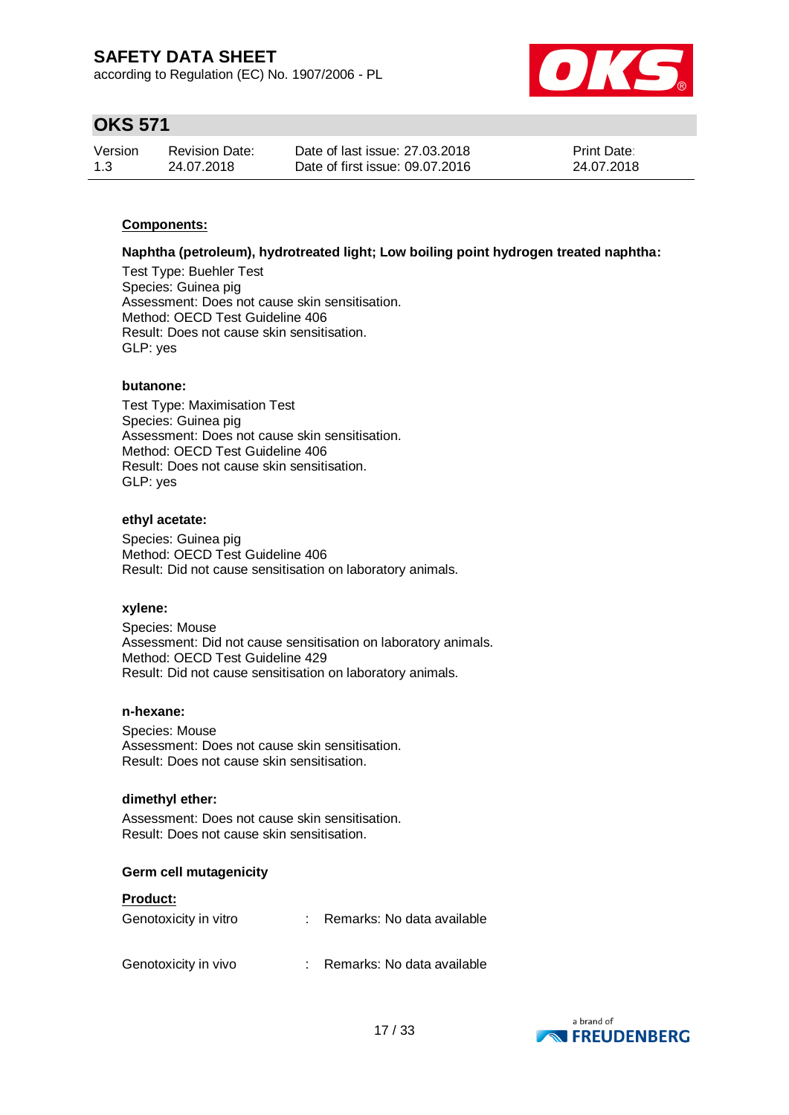according to Regulation (EC) No. 1907/2006 - PL



# **OKS 571**

| Version | <b>Revision Date:</b> | Date of last issue: 27,03,2018  | <b>Print Date:</b> |
|---------|-----------------------|---------------------------------|--------------------|
| 1.3     | 24.07.2018            | Date of first issue: 09.07.2016 | 24.07.2018         |

### **Components:**

#### **Naphtha (petroleum), hydrotreated light; Low boiling point hydrogen treated naphtha:**

Test Type: Buehler Test Species: Guinea pig Assessment: Does not cause skin sensitisation. Method: OECD Test Guideline 406 Result: Does not cause skin sensitisation. GLP: yes

### **butanone:**

Test Type: Maximisation Test Species: Guinea pig Assessment: Does not cause skin sensitisation. Method: OECD Test Guideline 406 Result: Does not cause skin sensitisation. GLP: yes

#### **ethyl acetate:**

Species: Guinea pig Method: OECD Test Guideline 406 Result: Did not cause sensitisation on laboratory animals.

#### **xylene:**

Species: Mouse Assessment: Did not cause sensitisation on laboratory animals. Method: OECD Test Guideline 429 Result: Did not cause sensitisation on laboratory animals.

#### **n-hexane:**

Species: Mouse Assessment: Does not cause skin sensitisation. Result: Does not cause skin sensitisation.

#### **dimethyl ether:**

Assessment: Does not cause skin sensitisation. Result: Does not cause skin sensitisation.

### **Germ cell mutagenicity**

### **Product:**

| Genotoxicity in vitro | : Remarks: No data available |
|-----------------------|------------------------------|
| Genotoxicity in vivo  | : Remarks: No data available |

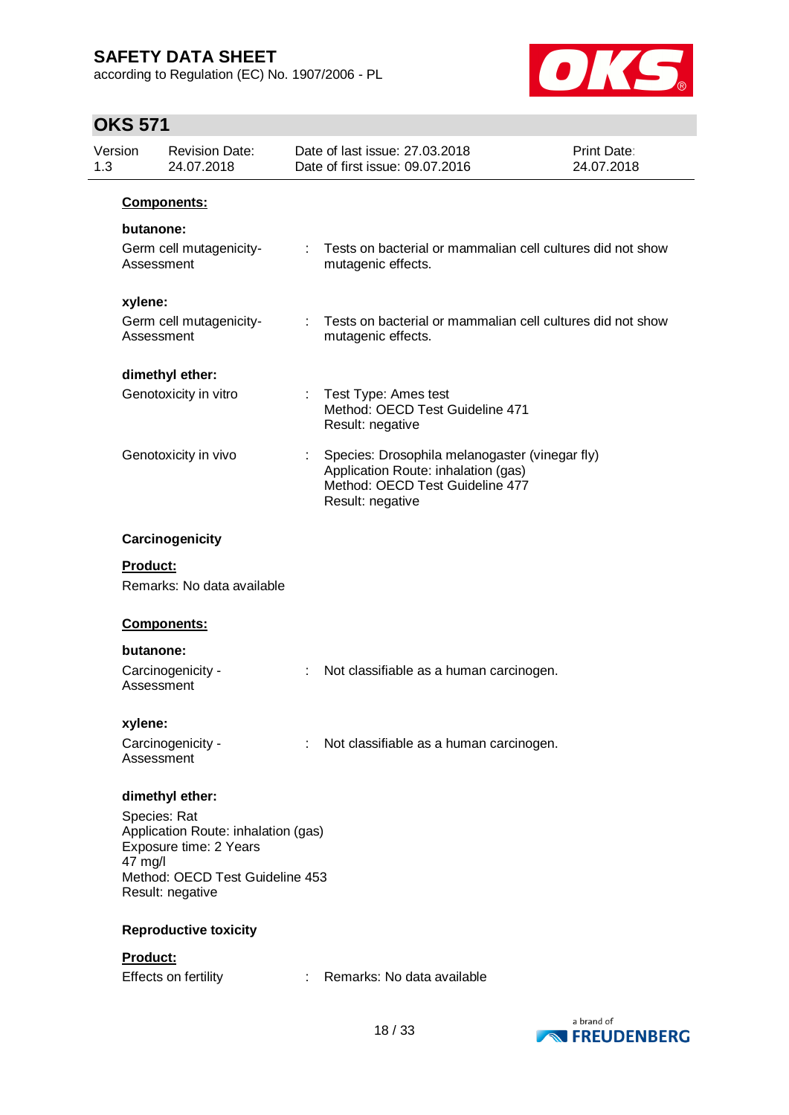according to Regulation (EC) No. 1907/2006 - PL



| Version<br>1.3 | <b>Revision Date:</b><br>24.07.2018                                                                                                  |                | Date of last issue: 27,03,2018<br>Date of first issue: 09.07.2016                                                                            | <b>Print Date:</b><br>24.07.2018 |
|----------------|--------------------------------------------------------------------------------------------------------------------------------------|----------------|----------------------------------------------------------------------------------------------------------------------------------------------|----------------------------------|
|                | Components:                                                                                                                          |                |                                                                                                                                              |                                  |
|                | butanone:<br>Germ cell mutagenicity-<br>Assessment                                                                                   | t.             | Tests on bacterial or mammalian cell cultures did not show<br>mutagenic effects.                                                             |                                  |
| xylene:        | Germ cell mutagenicity-<br>Assessment                                                                                                | ÷.             | Tests on bacterial or mammalian cell cultures did not show<br>mutagenic effects.                                                             |                                  |
|                | dimethyl ether:                                                                                                                      |                |                                                                                                                                              |                                  |
|                | Genotoxicity in vitro                                                                                                                |                | : Test Type: Ames test<br>Method: OECD Test Guideline 471<br>Result: negative                                                                |                                  |
|                | Genotoxicity in vivo                                                                                                                 |                | Species: Drosophila melanogaster (vinegar fly)<br>Application Route: inhalation (gas)<br>Method: OECD Test Guideline 477<br>Result: negative |                                  |
|                | Carcinogenicity                                                                                                                      |                |                                                                                                                                              |                                  |
| Product:       |                                                                                                                                      |                |                                                                                                                                              |                                  |
|                | Remarks: No data available                                                                                                           |                |                                                                                                                                              |                                  |
|                | Components:                                                                                                                          |                |                                                                                                                                              |                                  |
|                | butanone:                                                                                                                            |                |                                                                                                                                              |                                  |
|                | Carcinogenicity -<br>Assessment                                                                                                      | ÷.             | Not classifiable as a human carcinogen.                                                                                                      |                                  |
| xylene:        |                                                                                                                                      |                |                                                                                                                                              |                                  |
|                | Carcinogenicity -<br>Assessment                                                                                                      | $\mathbb{R}^n$ | Not classifiable as a human carcinogen.                                                                                                      |                                  |
|                | dimethyl ether:                                                                                                                      |                |                                                                                                                                              |                                  |
| 47 mg/l        | Species: Rat<br>Application Route: inhalation (gas)<br>Exposure time: 2 Years<br>Method: OECD Test Guideline 453<br>Result: negative |                |                                                                                                                                              |                                  |
|                | <b>Reproductive toxicity</b>                                                                                                         |                |                                                                                                                                              |                                  |
| Product:       | Effects on fertility                                                                                                                 |                | : Remarks: No data available                                                                                                                 |                                  |

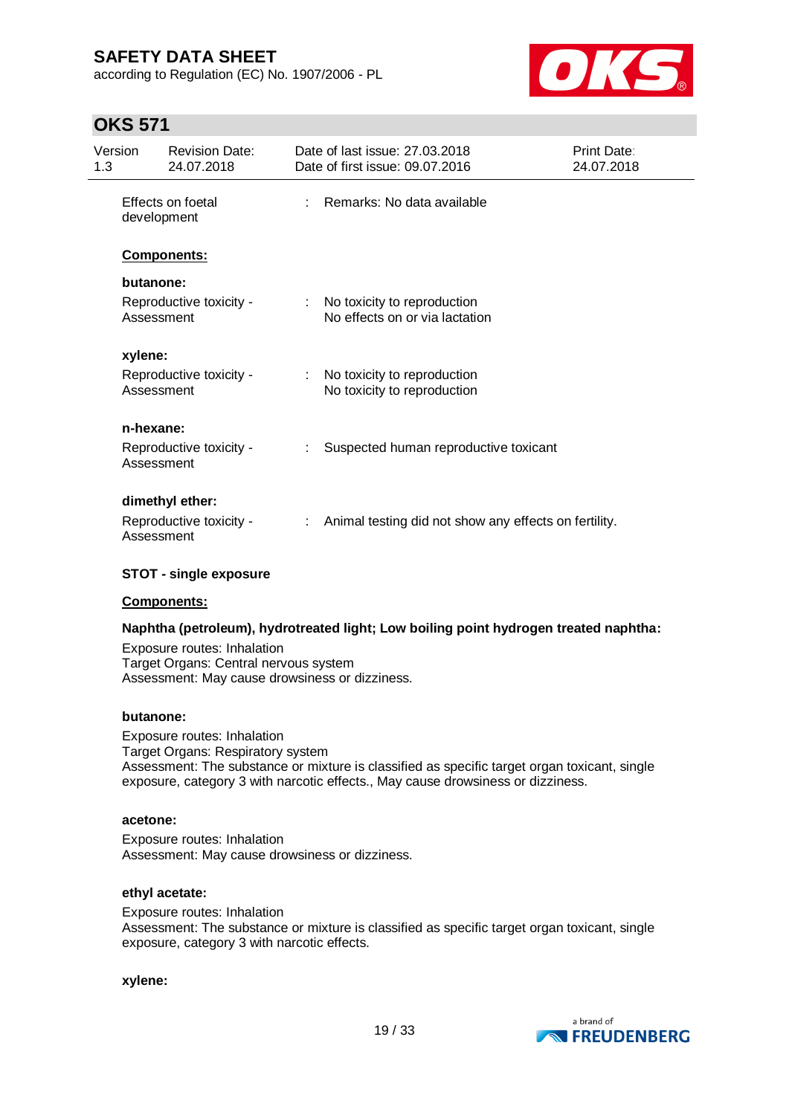according to Regulation (EC) No. 1907/2006 - PL



## **OKS 571**

| Version<br>1.3 |             | <b>Revision Date:</b><br>24.07.2018 | Date of last issue: 27,03,2018<br>Date of first issue: 09.07.2016 | Print Date:<br>24.07.2018 |
|----------------|-------------|-------------------------------------|-------------------------------------------------------------------|---------------------------|
|                | development | Effects on foetal                   | Remarks: No data available                                        |                           |
|                |             | Components:                         |                                                                   |                           |
|                | butanone:   |                                     |                                                                   |                           |
|                | Assessment  | Reproductive toxicity -             | No toxicity to reproduction<br>No effects on or via lactation     |                           |
|                | xylene:     |                                     |                                                                   |                           |
|                | Assessment  | Reproductive toxicity -             | No toxicity to reproduction<br>No toxicity to reproduction        |                           |
|                | n-hexane:   |                                     |                                                                   |                           |
|                | Assessment  | Reproductive toxicity -             | Suspected human reproductive toxicant                             |                           |
|                |             | dimethyl ether:                     |                                                                   |                           |
|                | Assessment  | Reproductive toxicity -             | Animal testing did not show any effects on fertility.             |                           |

### **STOT - single exposure**

### **Components:**

### **Naphtha (petroleum), hydrotreated light; Low boiling point hydrogen treated naphtha:**

Exposure routes: Inhalation Target Organs: Central nervous system Assessment: May cause drowsiness or dizziness.

#### **butanone:**

Exposure routes: Inhalation Target Organs: Respiratory system Assessment: The substance or mixture is classified as specific target organ toxicant, single exposure, category 3 with narcotic effects., May cause drowsiness or dizziness.

#### **acetone:**

Exposure routes: Inhalation Assessment: May cause drowsiness or dizziness.

#### **ethyl acetate:**

Exposure routes: Inhalation Assessment: The substance or mixture is classified as specific target organ toxicant, single exposure, category 3 with narcotic effects.

**xylene:**

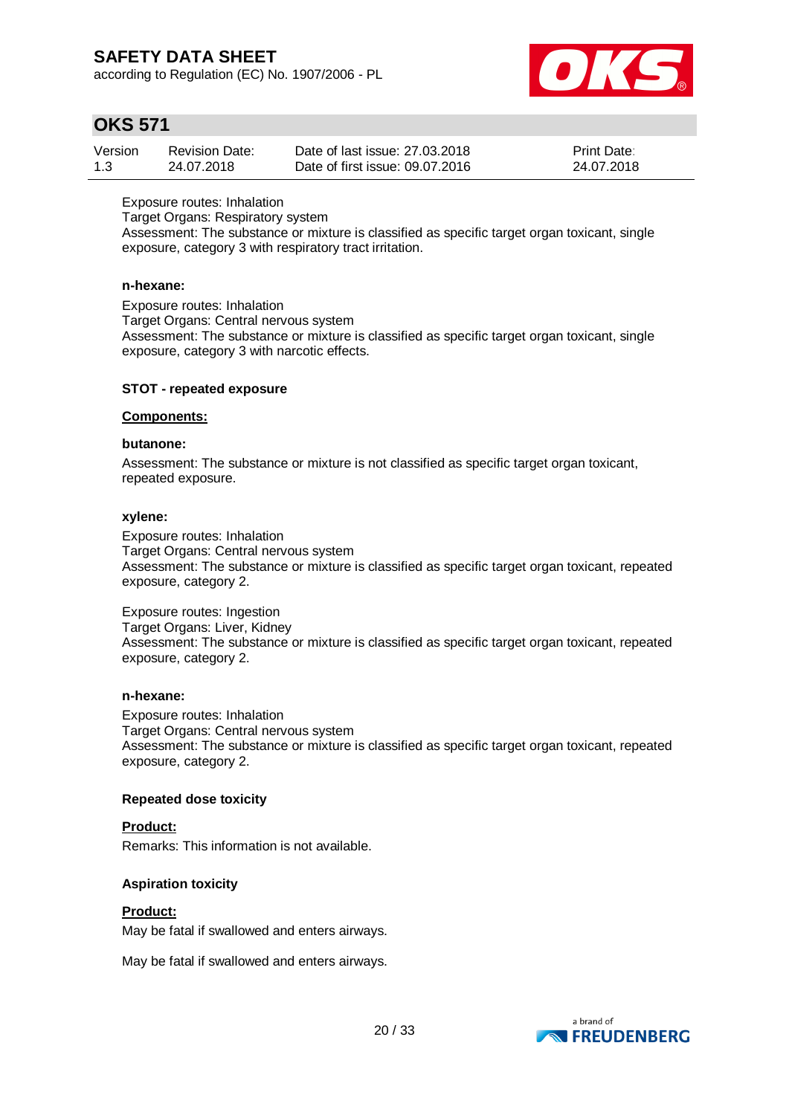according to Regulation (EC) No. 1907/2006 - PL



## **OKS 571**

| Version | <b>Revision Date:</b> | Date of last issue: 27,03,2018  | <b>Print Date:</b> |
|---------|-----------------------|---------------------------------|--------------------|
| 1.3     | 24.07.2018            | Date of first issue: 09.07.2016 | 24.07.2018         |

Exposure routes: Inhalation

Target Organs: Respiratory system

Assessment: The substance or mixture is classified as specific target organ toxicant, single exposure, category 3 with respiratory tract irritation.

### **n-hexane:**

Exposure routes: Inhalation Target Organs: Central nervous system Assessment: The substance or mixture is classified as specific target organ toxicant, single exposure, category 3 with narcotic effects.

### **STOT - repeated exposure**

#### **Components:**

### **butanone:**

Assessment: The substance or mixture is not classified as specific target organ toxicant, repeated exposure.

#### **xylene:**

Exposure routes: Inhalation Target Organs: Central nervous system Assessment: The substance or mixture is classified as specific target organ toxicant, repeated exposure, category 2.

Exposure routes: Ingestion Target Organs: Liver, Kidney Assessment: The substance or mixture is classified as specific target organ toxicant, repeated exposure, category 2.

### **n-hexane:**

Exposure routes: Inhalation Target Organs: Central nervous system Assessment: The substance or mixture is classified as specific target organ toxicant, repeated exposure, category 2.

### **Repeated dose toxicity**

#### **Product:**

Remarks: This information is not available.

### **Aspiration toxicity**

#### **Product:**

May be fatal if swallowed and enters airways.

May be fatal if swallowed and enters airways.

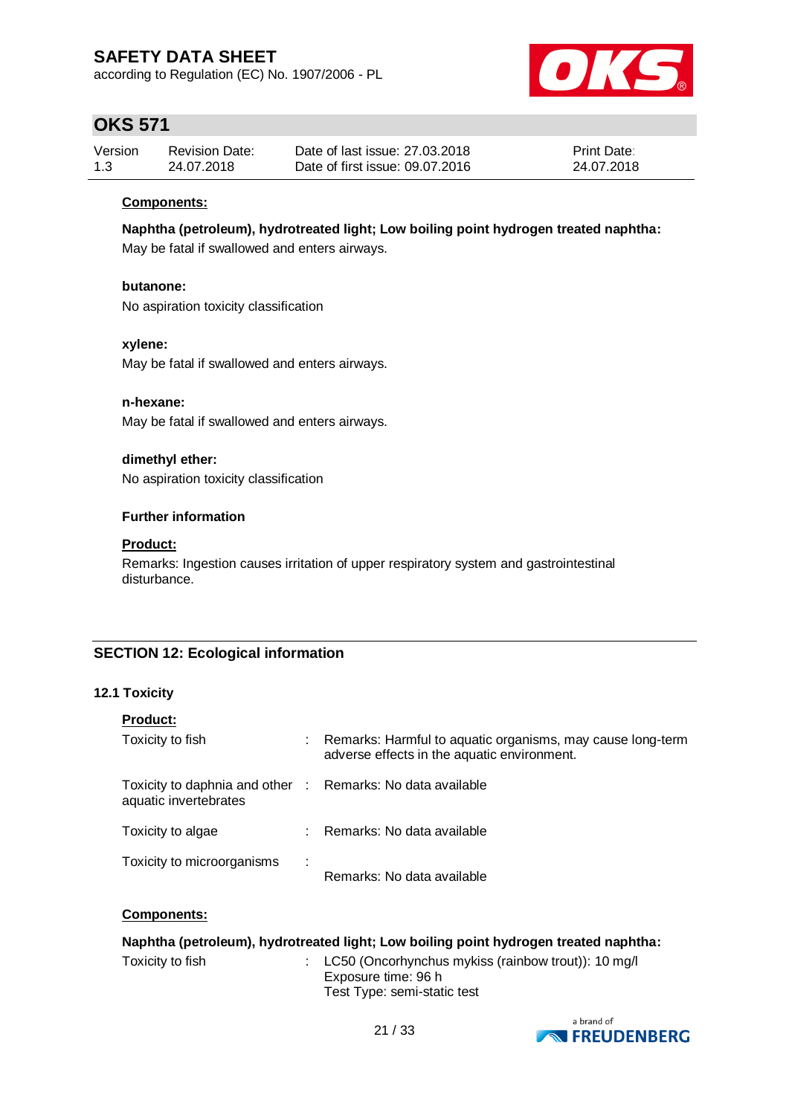according to Regulation (EC) No. 1907/2006 - PL



# **OKS 571**

| Version | <b>Revision Date:</b> | Date of last issue: 27,03,2018  | <b>Print Date:</b> |
|---------|-----------------------|---------------------------------|--------------------|
| 1.3     | 24.07.2018            | Date of first issue: 09.07.2016 | 24.07.2018         |

### **Components:**

**Naphtha (petroleum), hydrotreated light; Low boiling point hydrogen treated naphtha:**

May be fatal if swallowed and enters airways.

### **butanone:**

No aspiration toxicity classification

### **xylene:**

May be fatal if swallowed and enters airways.

### **n-hexane:**

May be fatal if swallowed and enters airways.

### **dimethyl ether:**

No aspiration toxicity classification

### **Further information**

### **Product:**

Remarks: Ingestion causes irritation of upper respiratory system and gastrointestinal disturbance.

### **SECTION 12: Ecological information**

### **12.1 Toxicity**

| <b>Product:</b>                                          |   |                                                                                                           |
|----------------------------------------------------------|---|-----------------------------------------------------------------------------------------------------------|
| Toxicity to fish                                         | ÷ | Remarks: Harmful to aquatic organisms, may cause long-term<br>adverse effects in the aquatic environment. |
| Toxicity to daphnia and other :<br>aquatic invertebrates |   | Remarks: No data available                                                                                |
| Toxicity to algae                                        | ٠ | Remarks: No data available                                                                                |
| Toxicity to microorganisms                               |   | Remarks: No data available                                                                                |

### **Components:**

| Naphtha (petroleum), hydrotreated light; Low boiling point hydrogen treated naphtha: |  |                                                                                                               |  |  |  |
|--------------------------------------------------------------------------------------|--|---------------------------------------------------------------------------------------------------------------|--|--|--|
| Toxicity to fish                                                                     |  | : $LC50$ (Oncorhynchus mykiss (rainbow trout)): 10 mg/l<br>Exposure time: 96 h<br>Test Type: semi-static test |  |  |  |

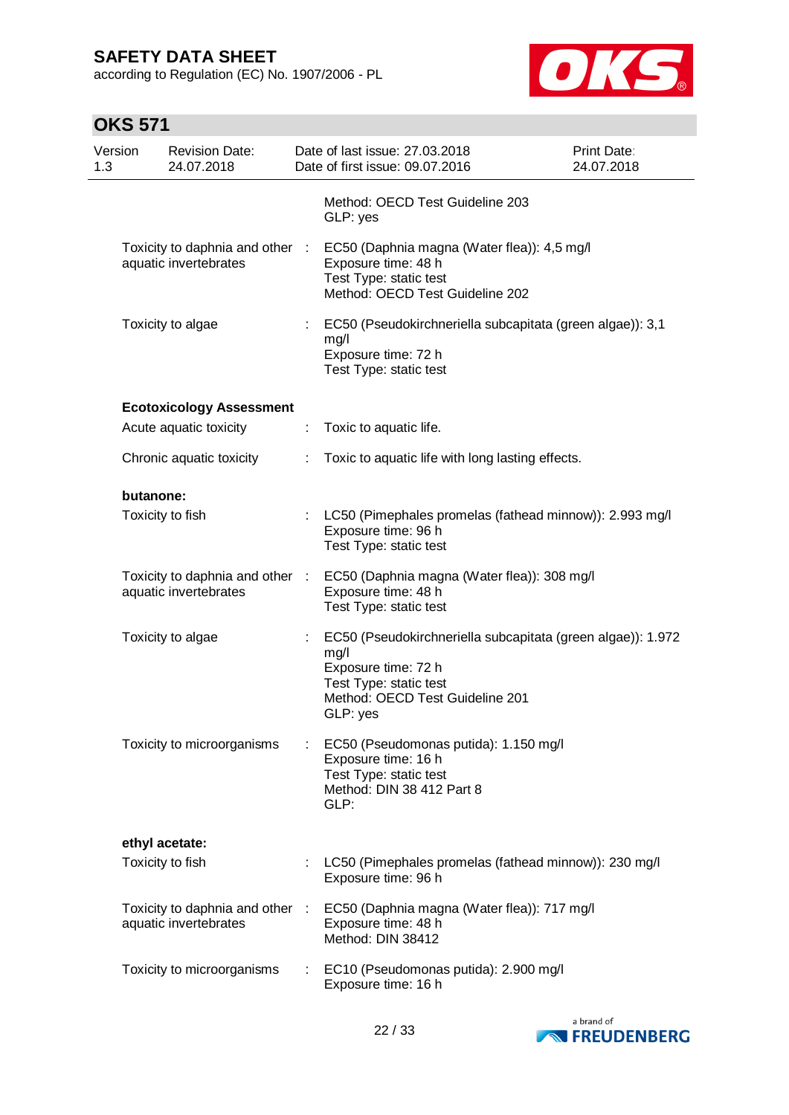according to Regulation (EC) No. 1907/2006 - PL



| Version<br>1.3 |                  | <b>Revision Date:</b><br>24.07.2018                      |    | Date of last issue: 27.03.2018<br>Date of first issue: 09.07.2016                                                                                                   | <b>Print Date:</b><br>24.07.2018 |
|----------------|------------------|----------------------------------------------------------|----|---------------------------------------------------------------------------------------------------------------------------------------------------------------------|----------------------------------|
|                |                  |                                                          |    | Method: OECD Test Guideline 203<br>GLP: yes                                                                                                                         |                                  |
|                |                  | Toxicity to daphnia and other :<br>aquatic invertebrates |    | EC50 (Daphnia magna (Water flea)): 4,5 mg/l<br>Exposure time: 48 h<br>Test Type: static test<br>Method: OECD Test Guideline 202                                     |                                  |
|                |                  | Toxicity to algae                                        |    | EC50 (Pseudokirchneriella subcapitata (green algae)): 3,1<br>mg/l<br>Exposure time: 72 h<br>Test Type: static test                                                  |                                  |
|                |                  | <b>Ecotoxicology Assessment</b>                          |    |                                                                                                                                                                     |                                  |
|                |                  | Acute aquatic toxicity                                   | ÷  | Toxic to aquatic life.                                                                                                                                              |                                  |
|                |                  | Chronic aquatic toxicity                                 | ÷. | Toxic to aquatic life with long lasting effects.                                                                                                                    |                                  |
|                | butanone:        |                                                          |    |                                                                                                                                                                     |                                  |
|                | Toxicity to fish |                                                          |    | : LC50 (Pimephales promelas (fathead minnow)): 2.993 mg/l<br>Exposure time: 96 h<br>Test Type: static test                                                          |                                  |
|                |                  | Toxicity to daphnia and other :<br>aquatic invertebrates |    | EC50 (Daphnia magna (Water flea)): 308 mg/l<br>Exposure time: 48 h<br>Test Type: static test                                                                        |                                  |
|                |                  | Toxicity to algae                                        |    | EC50 (Pseudokirchneriella subcapitata (green algae)): 1.972<br>mg/l<br>Exposure time: 72 h<br>Test Type: static test<br>Method: OECD Test Guideline 201<br>GLP: yes |                                  |
|                |                  | Toxicity to microorganisms                               |    | EC50 (Pseudomonas putida): 1.150 mg/l<br>Exposure time: 16 h<br>Test Type: static test<br>Method: DIN 38 412 Part 8<br>GLP:                                         |                                  |
|                | ethyl acetate:   |                                                          |    |                                                                                                                                                                     |                                  |
|                | Toxicity to fish |                                                          |    | LC50 (Pimephales promelas (fathead minnow)): 230 mg/l<br>Exposure time: 96 h                                                                                        |                                  |
|                |                  | Toxicity to daphnia and other :<br>aquatic invertebrates |    | EC50 (Daphnia magna (Water flea)): 717 mg/l<br>Exposure time: 48 h<br>Method: DIN 38412                                                                             |                                  |
|                |                  | Toxicity to microorganisms                               |    | EC10 (Pseudomonas putida): 2.900 mg/l<br>Exposure time: 16 h                                                                                                        |                                  |
|                |                  |                                                          |    |                                                                                                                                                                     |                                  |

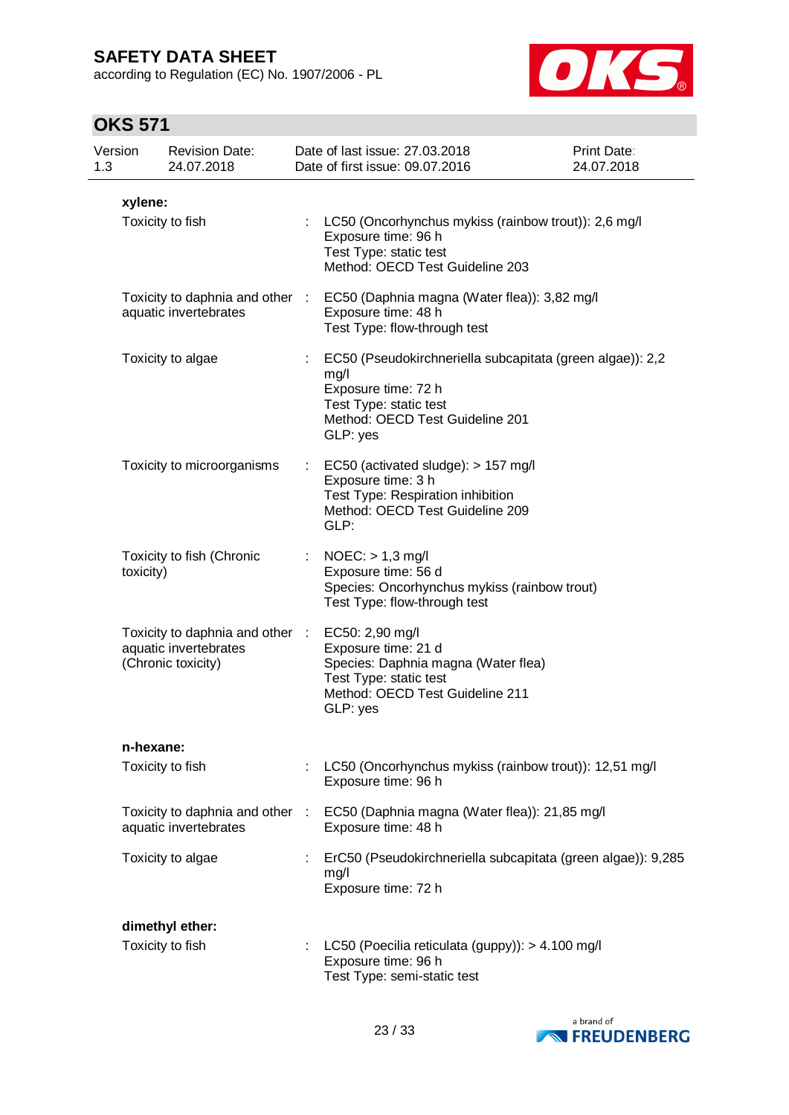according to Regulation (EC) No. 1907/2006 - PL



| Version<br>1.3 | <b>Revision Date:</b><br>24.07.2018                                            | Date of last issue: 27.03.2018<br>Date of first issue: 09.07.2016                                                                                                 | Print Date:<br>24.07.2018 |
|----------------|--------------------------------------------------------------------------------|-------------------------------------------------------------------------------------------------------------------------------------------------------------------|---------------------------|
| xylene:        |                                                                                |                                                                                                                                                                   |                           |
|                | Toxicity to fish                                                               | : LC50 (Oncorhynchus mykiss (rainbow trout)): 2,6 mg/l<br>Exposure time: 96 h<br>Test Type: static test<br>Method: OECD Test Guideline 203                        |                           |
|                | Toxicity to daphnia and other :<br>aquatic invertebrates                       | EC50 (Daphnia magna (Water flea)): 3,82 mg/l<br>Exposure time: 48 h<br>Test Type: flow-through test                                                               |                           |
|                | Toxicity to algae                                                              | EC50 (Pseudokirchneriella subcapitata (green algae)): 2,2<br>mg/l<br>Exposure time: 72 h<br>Test Type: static test<br>Method: OECD Test Guideline 201<br>GLP: yes |                           |
|                | Toxicity to microorganisms                                                     | EC50 (activated sludge): > 157 mg/l<br>Exposure time: 3 h<br>Test Type: Respiration inhibition<br>Method: OECD Test Guideline 209<br>GLP:                         |                           |
| toxicity)      | Toxicity to fish (Chronic                                                      | $NOEC:$ > 1,3 mg/l<br>Exposure time: 56 d<br>Species: Oncorhynchus mykiss (rainbow trout)<br>Test Type: flow-through test                                         |                           |
|                | Toxicity to daphnia and other :<br>aquatic invertebrates<br>(Chronic toxicity) | EC50: 2,90 mg/l<br>Exposure time: 21 d<br>Species: Daphnia magna (Water flea)<br>Test Type: static test<br>Method: OECD Test Guideline 211<br>GLP: yes            |                           |
|                | n-hexane:                                                                      |                                                                                                                                                                   |                           |
|                | Toxicity to fish                                                               | LC50 (Oncorhynchus mykiss (rainbow trout)): 12,51 mg/l<br>Exposure time: 96 h                                                                                     |                           |
|                | Toxicity to daphnia and other :<br>aquatic invertebrates                       | EC50 (Daphnia magna (Water flea)): 21,85 mg/l<br>Exposure time: 48 h                                                                                              |                           |
|                | Toxicity to algae                                                              | ErC50 (Pseudokirchneriella subcapitata (green algae)): 9,285<br>mg/l<br>Exposure time: 72 h                                                                       |                           |
|                | dimethyl ether:                                                                |                                                                                                                                                                   |                           |
|                | Toxicity to fish                                                               | LC50 (Poecilia reticulata (guppy)): > 4.100 mg/l<br>Exposure time: 96 h<br>Test Type: semi-static test                                                            |                           |

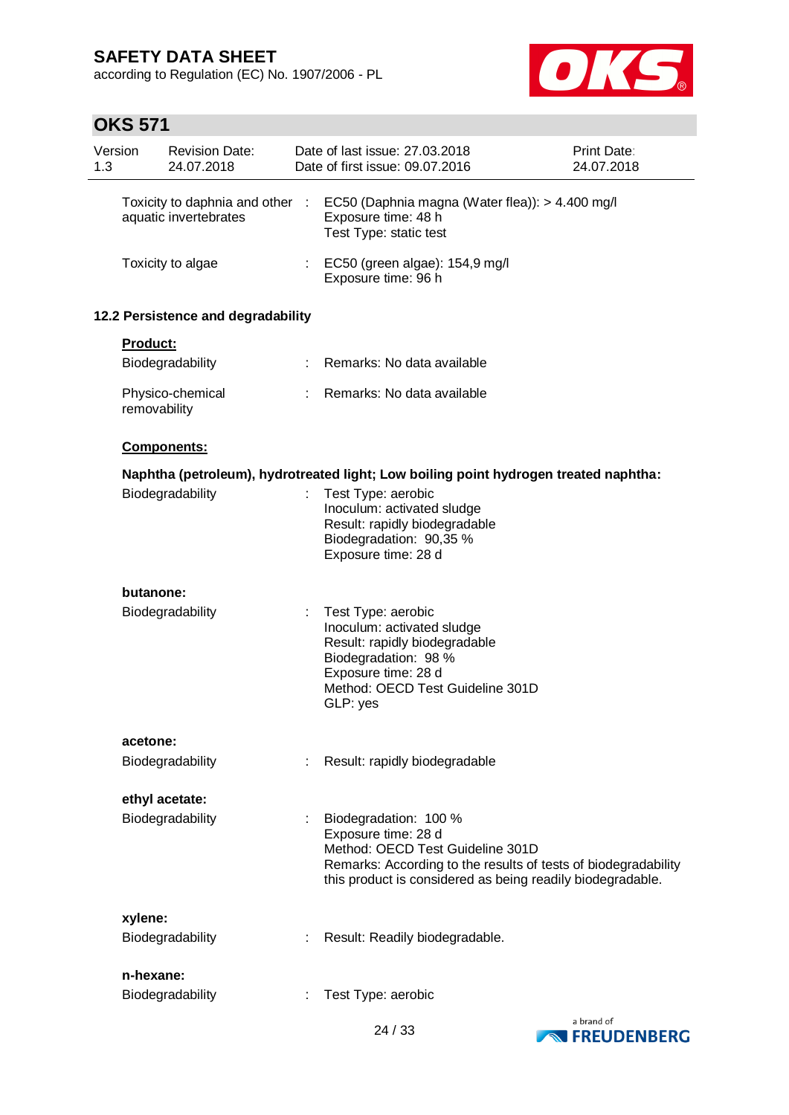according to Regulation (EC) No. 1907/2006 - PL



| Version<br>1.3 |                 | <b>Revision Date:</b><br>24.07.2018                      |    | Date of last issue: 27.03.2018<br>Date of first issue: 09.07.2016                                                                                                                                                | Print Date:<br>24.07.2018 |
|----------------|-----------------|----------------------------------------------------------|----|------------------------------------------------------------------------------------------------------------------------------------------------------------------------------------------------------------------|---------------------------|
|                |                 | Toxicity to daphnia and other :<br>aquatic invertebrates |    | EC50 (Daphnia magna (Water flea)): > 4.400 mg/l<br>Exposure time: 48 h<br>Test Type: static test                                                                                                                 |                           |
|                |                 | Toxicity to algae                                        |    | EC50 (green algae): 154,9 mg/l<br>Exposure time: 96 h                                                                                                                                                            |                           |
|                |                 | 12.2 Persistence and degradability                       |    |                                                                                                                                                                                                                  |                           |
|                | <b>Product:</b> |                                                          |    |                                                                                                                                                                                                                  |                           |
|                |                 | Biodegradability                                         | ÷. | Remarks: No data available                                                                                                                                                                                       |                           |
|                | removability    | Physico-chemical                                         |    | Remarks: No data available                                                                                                                                                                                       |                           |
|                |                 | Components:                                              |    |                                                                                                                                                                                                                  |                           |
|                |                 |                                                          |    | Naphtha (petroleum), hydrotreated light; Low boiling point hydrogen treated naphtha:                                                                                                                             |                           |
|                |                 | Biodegradability                                         |    | Test Type: aerobic<br>Inoculum: activated sludge<br>Result: rapidly biodegradable<br>Biodegradation: 90,35 %<br>Exposure time: 28 d                                                                              |                           |
|                | butanone:       |                                                          |    |                                                                                                                                                                                                                  |                           |
|                |                 | Biodegradability                                         |    | Test Type: aerobic<br>Inoculum: activated sludge<br>Result: rapidly biodegradable<br>Biodegradation: 98 %<br>Exposure time: 28 d<br>Method: OECD Test Guideline 301D<br>GLP: yes                                 |                           |
|                | acetone:        |                                                          |    |                                                                                                                                                                                                                  |                           |
|                |                 | Biodegradability                                         |    | Result: rapidly biodegradable                                                                                                                                                                                    |                           |
|                |                 | ethyl acetate:                                           |    |                                                                                                                                                                                                                  |                           |
|                |                 | Biodegradability                                         |    | Biodegradation: 100 %<br>Exposure time: 28 d<br>Method: OECD Test Guideline 301D<br>Remarks: According to the results of tests of biodegradability<br>this product is considered as being readily biodegradable. |                           |
|                | xylene:         |                                                          |    |                                                                                                                                                                                                                  |                           |
|                |                 | Biodegradability                                         |    | Result: Readily biodegradable.                                                                                                                                                                                   |                           |
|                | n-hexane:       |                                                          |    |                                                                                                                                                                                                                  |                           |
|                |                 | Biodegradability                                         |    | Test Type: aerobic                                                                                                                                                                                               |                           |

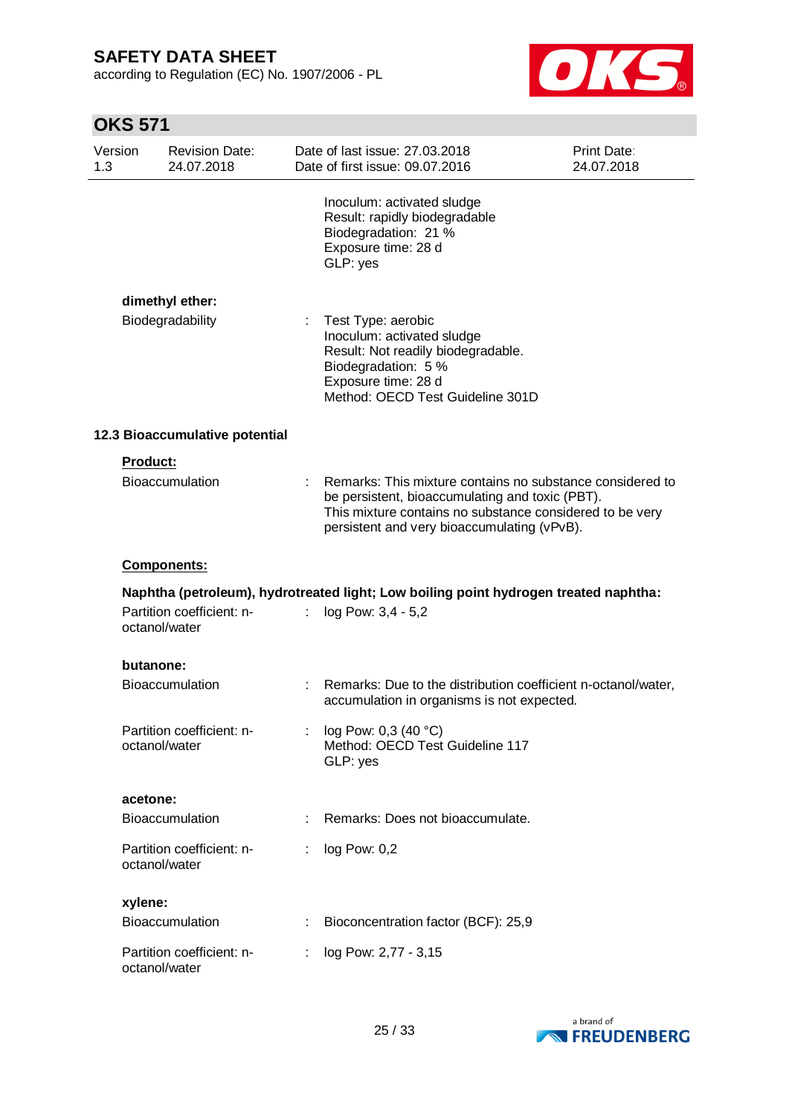according to Regulation (EC) No. 1907/2006 - PL



| Version<br>1.3 | <b>Revision Date:</b><br>24.07.2018        | Date of last issue: 27.03.2018<br>Date of first issue: 09.07.2016                                                                                                                                                       | <b>Print Date:</b><br>24.07.2018 |
|----------------|--------------------------------------------|-------------------------------------------------------------------------------------------------------------------------------------------------------------------------------------------------------------------------|----------------------------------|
|                |                                            | Inoculum: activated sludge<br>Result: rapidly biodegradable<br>Biodegradation: 21 %<br>Exposure time: 28 d<br>GLP: yes                                                                                                  |                                  |
|                | dimethyl ether:                            |                                                                                                                                                                                                                         |                                  |
|                | Biodegradability                           | Test Type: aerobic<br>Inoculum: activated sludge<br>Result: Not readily biodegradable.<br>Biodegradation: 5 %<br>Exposure time: 28 d<br>Method: OECD Test Guideline 301D                                                |                                  |
|                | 12.3 Bioaccumulative potential             |                                                                                                                                                                                                                         |                                  |
|                | <b>Product:</b>                            |                                                                                                                                                                                                                         |                                  |
|                | Bioaccumulation                            | Remarks: This mixture contains no substance considered to<br>be persistent, bioaccumulating and toxic (PBT).<br>This mixture contains no substance considered to be very<br>persistent and very bioaccumulating (vPvB). |                                  |
|                | Components:                                |                                                                                                                                                                                                                         |                                  |
|                |                                            | Naphtha (petroleum), hydrotreated light; Low boiling point hydrogen treated naphtha:                                                                                                                                    |                                  |
|                | Partition coefficient: n-<br>octanol/water | log Pow: 3,4 - 5,2                                                                                                                                                                                                      |                                  |
|                | butanone:                                  |                                                                                                                                                                                                                         |                                  |
|                | <b>Bioaccumulation</b>                     | Remarks: Due to the distribution coefficient n-octanol/water,<br>accumulation in organisms is not expected.                                                                                                             |                                  |
|                | Partition coefficient: n-<br>octanol/water | : $log Pow: 0,3 (40 °C)$<br>Method: OECD Test Guideline 117<br>GLP: yes                                                                                                                                                 |                                  |
|                | acetone:                                   |                                                                                                                                                                                                                         |                                  |
|                | Bioaccumulation                            | Remarks: Does not bioaccumulate.                                                                                                                                                                                        |                                  |
|                | Partition coefficient: n-<br>octanol/water | log Pow: 0,2                                                                                                                                                                                                            |                                  |
|                | xylene:                                    |                                                                                                                                                                                                                         |                                  |
|                | Bioaccumulation                            | Bioconcentration factor (BCF): 25,9                                                                                                                                                                                     |                                  |
|                | Partition coefficient: n-<br>octanol/water | log Pow: 2,77 - 3,15                                                                                                                                                                                                    |                                  |

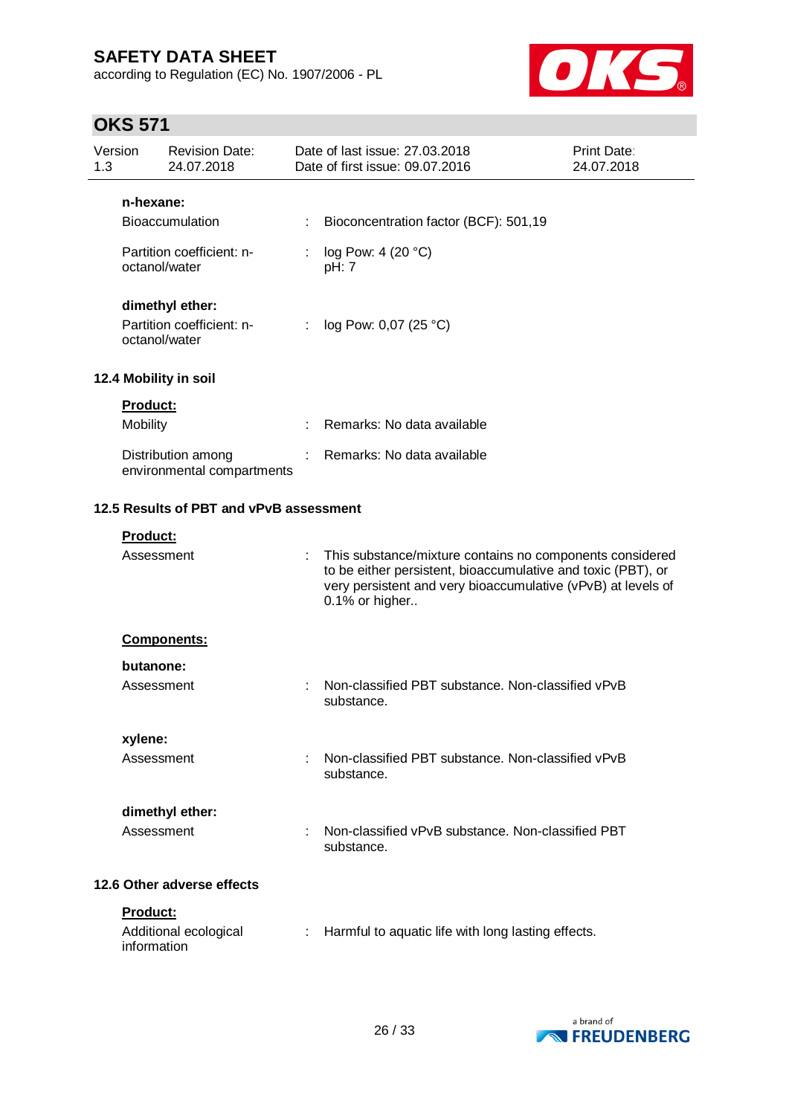according to Regulation (EC) No. 1907/2006 - PL



| <b>Revision Date:</b><br>Version<br>1.3<br>24.07.2018 |                 | Date of last issue: 27.03.2018<br><b>Print Date:</b><br>Date of first issue: 09.07.2016<br>24.07.2018 |   |                                                                                                                                                                                                            |  |
|-------------------------------------------------------|-----------------|-------------------------------------------------------------------------------------------------------|---|------------------------------------------------------------------------------------------------------------------------------------------------------------------------------------------------------------|--|
|                                                       | n-hexane:       |                                                                                                       |   |                                                                                                                                                                                                            |  |
|                                                       |                 | <b>Bioaccumulation</b>                                                                                |   | Bioconcentration factor (BCF): 501,19                                                                                                                                                                      |  |
|                                                       | octanol/water   | Partition coefficient: n-                                                                             |   | log Pow: 4 (20 °C)<br>pH: 7                                                                                                                                                                                |  |
|                                                       |                 | dimethyl ether:                                                                                       |   |                                                                                                                                                                                                            |  |
|                                                       | octanol/water   | Partition coefficient: n-                                                                             | ÷ | log Pow: 0,07 (25 °C)                                                                                                                                                                                      |  |
|                                                       |                 | 12.4 Mobility in soil                                                                                 |   |                                                                                                                                                                                                            |  |
|                                                       | <b>Product:</b> |                                                                                                       |   |                                                                                                                                                                                                            |  |
|                                                       | <b>Mobility</b> |                                                                                                       |   | Remarks: No data available                                                                                                                                                                                 |  |
|                                                       |                 | Distribution among<br>environmental compartments                                                      |   | Remarks: No data available                                                                                                                                                                                 |  |
|                                                       |                 | 12.5 Results of PBT and vPvB assessment                                                               |   |                                                                                                                                                                                                            |  |
|                                                       | Product:        |                                                                                                       |   |                                                                                                                                                                                                            |  |
|                                                       | Assessment      |                                                                                                       |   | This substance/mixture contains no components considered<br>to be either persistent, bioaccumulative and toxic (PBT), or<br>very persistent and very bioaccumulative (vPvB) at levels of<br>0.1% or higher |  |
|                                                       |                 | <b>Components:</b>                                                                                    |   |                                                                                                                                                                                                            |  |
|                                                       | butanone:       |                                                                                                       |   |                                                                                                                                                                                                            |  |
|                                                       | Assessment      |                                                                                                       |   | Non-classified PBT substance, Non-classified vPvB<br>substance.                                                                                                                                            |  |
|                                                       | xylene:         |                                                                                                       |   |                                                                                                                                                                                                            |  |
|                                                       | Assessment      |                                                                                                       | ÷ | Non-classified PBT substance. Non-classified vPvB<br>substance.                                                                                                                                            |  |
|                                                       |                 | dimethyl ether:                                                                                       |   |                                                                                                                                                                                                            |  |
| Assessment                                            |                 |                                                                                                       |   | Non-classified vPvB substance, Non-classified PBT<br>substance.                                                                                                                                            |  |
|                                                       |                 | 12.6 Other adverse effects                                                                            |   |                                                                                                                                                                                                            |  |
|                                                       | Product:        |                                                                                                       |   |                                                                                                                                                                                                            |  |
|                                                       | information     | Additional ecological                                                                                 |   | Harmful to aquatic life with long lasting effects.                                                                                                                                                         |  |

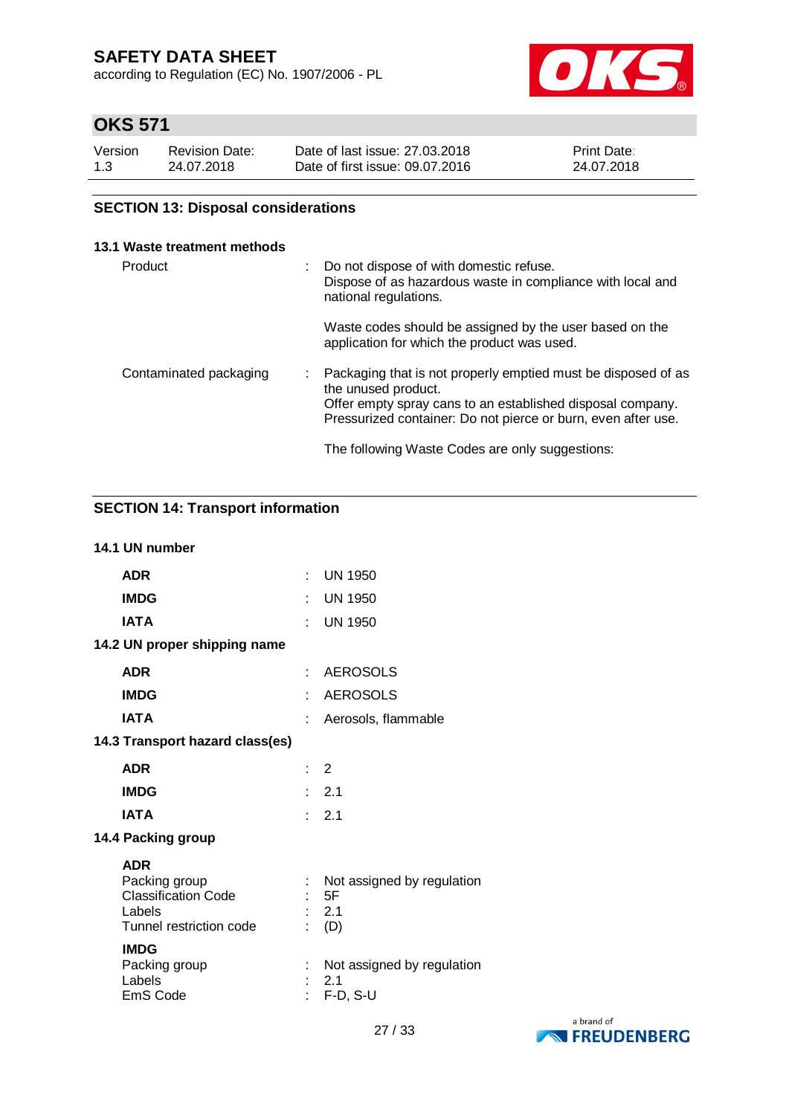according to Regulation (EC) No. 1907/2006 - PL



# **OKS 571**

| Version | <b>Revision Date:</b> | Date of last issue: 27,03,2018  | Print Date: |
|---------|-----------------------|---------------------------------|-------------|
| 1.3     | 24.07.2018            | Date of first issue: 09.07.2016 | 24.07.2018  |

## **SECTION 13: Disposal considerations**

### **13.1 Waste treatment methods**

| Product                |  | Do not dispose of with domestic refuse.<br>Dispose of as hazardous waste in compliance with local and<br>national regulations.                                                                                      |
|------------------------|--|---------------------------------------------------------------------------------------------------------------------------------------------------------------------------------------------------------------------|
|                        |  | Waste codes should be assigned by the user based on the<br>application for which the product was used.                                                                                                              |
| Contaminated packaging |  | Packaging that is not properly emptied must be disposed of as<br>the unused product.<br>Offer empty spray cans to an established disposal company.<br>Pressurized container: Do not pierce or burn, even after use. |
|                        |  | The following Waste Codes are only suggestions:                                                                                                                                                                     |

### **SECTION 14: Transport information**

### **14.1 UN number**

| <b>ADR</b>                                                                                     |                            | <b>UN 1950</b>                                   |
|------------------------------------------------------------------------------------------------|----------------------------|--------------------------------------------------|
| <b>IMDG</b>                                                                                    |                            | <b>UN 1950</b>                                   |
| <b>IATA</b>                                                                                    |                            | <b>UN 1950</b>                                   |
| 14.2 UN proper shipping name                                                                   |                            |                                                  |
| <b>ADR</b>                                                                                     | $\mathcal{F}(\mathcal{A})$ | <b>AEROSOLS</b>                                  |
| <b>IMDG</b>                                                                                    | t                          | <b>AEROSOLS</b>                                  |
| <b>IATA</b>                                                                                    |                            | Aerosols, flammable                              |
| 14.3 Transport hazard class(es)                                                                |                            |                                                  |
| <b>ADR</b>                                                                                     | $\therefore$ 2             |                                                  |
| <b>IMDG</b>                                                                                    |                            | : 2.1                                            |
| <b>IATA</b>                                                                                    |                            | : 2.1                                            |
| 14.4 Packing group                                                                             |                            |                                                  |
| <b>ADR</b><br>Packing group<br><b>Classification Code</b><br>Labels<br>Tunnel restriction code |                            | Not assigned by regulation<br>5F<br>2.1<br>(D)   |
| <b>IMDG</b><br>Packing group<br>Labels<br>EmS Code                                             |                            | Not assigned by regulation<br>2.1<br>$F-D$ , S-U |

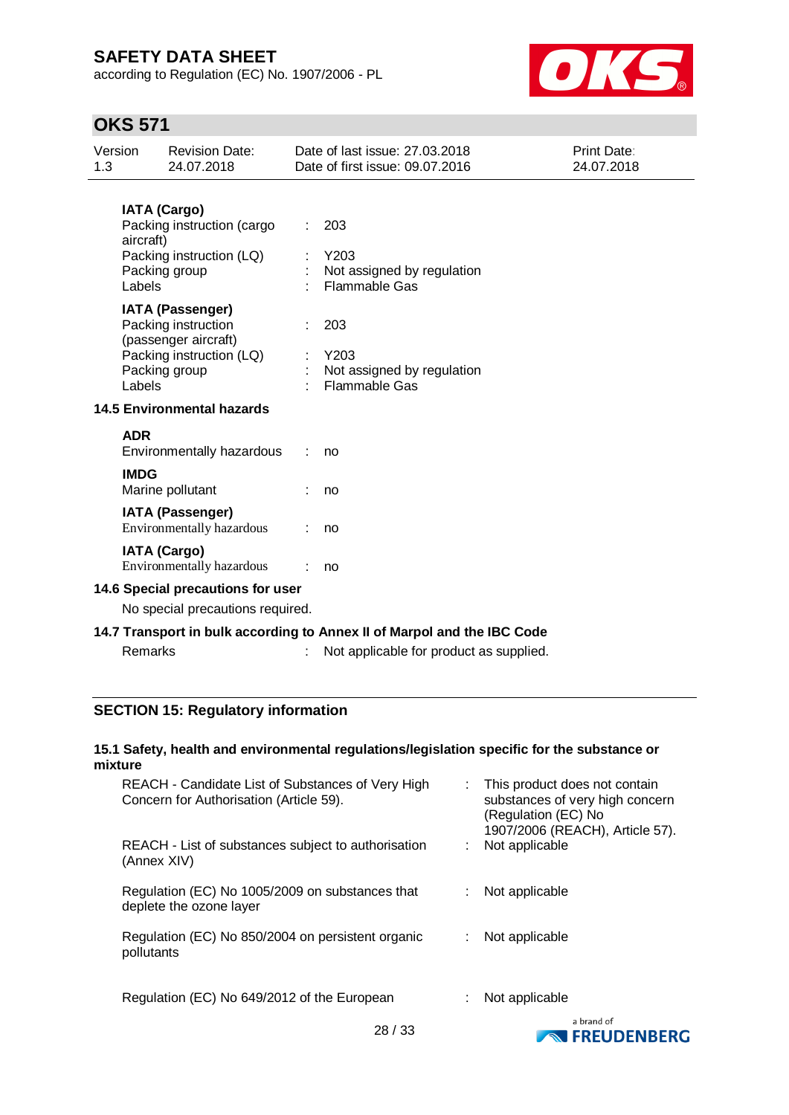according to Regulation (EC) No. 1907/2006 - PL



## **OKS 571**

| Version<br>1.3 | <b>Revision Date:</b><br>24.07.2018                                                                                           |  | Date of last issue: 27.03.2018<br>Date of first issue: 09.07.2016       | <b>Print Date:</b><br>24.07.2018 |  |  |  |
|----------------|-------------------------------------------------------------------------------------------------------------------------------|--|-------------------------------------------------------------------------|----------------------------------|--|--|--|
|                | <b>IATA (Cargo)</b><br>Packing instruction (cargo<br>aircraft)<br>Packing instruction (LQ)<br>Packing group<br>Labels         |  | 203<br>Y203<br>Not assigned by regulation<br><b>Flammable Gas</b>       |                                  |  |  |  |
|                | <b>IATA (Passenger)</b><br>Packing instruction<br>(passenger aircraft)<br>Packing instruction (LQ)<br>Packing group<br>Labels |  | 203<br>Y203<br>Not assigned by regulation<br><b>Flammable Gas</b>       |                                  |  |  |  |
|                | <b>14.5 Environmental hazards</b>                                                                                             |  |                                                                         |                                  |  |  |  |
|                | <b>ADR</b><br>Environmentally hazardous                                                                                       |  | no                                                                      |                                  |  |  |  |
|                | <b>IMDG</b><br>Marine pollutant                                                                                               |  | no                                                                      |                                  |  |  |  |
|                | <b>IATA (Passenger)</b><br>Environmentally hazardous                                                                          |  | no                                                                      |                                  |  |  |  |
|                | <b>IATA (Cargo)</b><br>Environmentally hazardous                                                                              |  | no                                                                      |                                  |  |  |  |
|                | 14.6 Special precautions for user                                                                                             |  |                                                                         |                                  |  |  |  |
|                | No special precautions required.                                                                                              |  |                                                                         |                                  |  |  |  |
|                |                                                                                                                               |  | 14.7 Transport in bulk according to Annex II of Marpol and the IBC Code |                                  |  |  |  |
|                | Remarks                                                                                                                       |  | Not applicable for product as supplied.                                 |                                  |  |  |  |

### **SECTION 15: Regulatory information**

### **15.1 Safety, health and environmental regulations/legislation specific for the substance or mixture**

| REACH - Candidate List of Substances of Very High<br>Concern for Authorisation (Article 59).<br>REACH - List of substances subject to authorisation<br>(Annex XIV) | This product does not contain<br>substances of very high concern<br>(Regulation (EC) No<br>1907/2006 (REACH), Article 57).<br>Not applicable |
|--------------------------------------------------------------------------------------------------------------------------------------------------------------------|----------------------------------------------------------------------------------------------------------------------------------------------|
|                                                                                                                                                                    |                                                                                                                                              |
| Regulation (EC) No 1005/2009 on substances that<br>deplete the ozone layer                                                                                         | Not applicable                                                                                                                               |
| Regulation (EC) No 850/2004 on persistent organic<br>pollutants                                                                                                    | Not applicable                                                                                                                               |
| Regulation (EC) No 649/2012 of the European                                                                                                                        | Not applicable<br>a brand of                                                                                                                 |

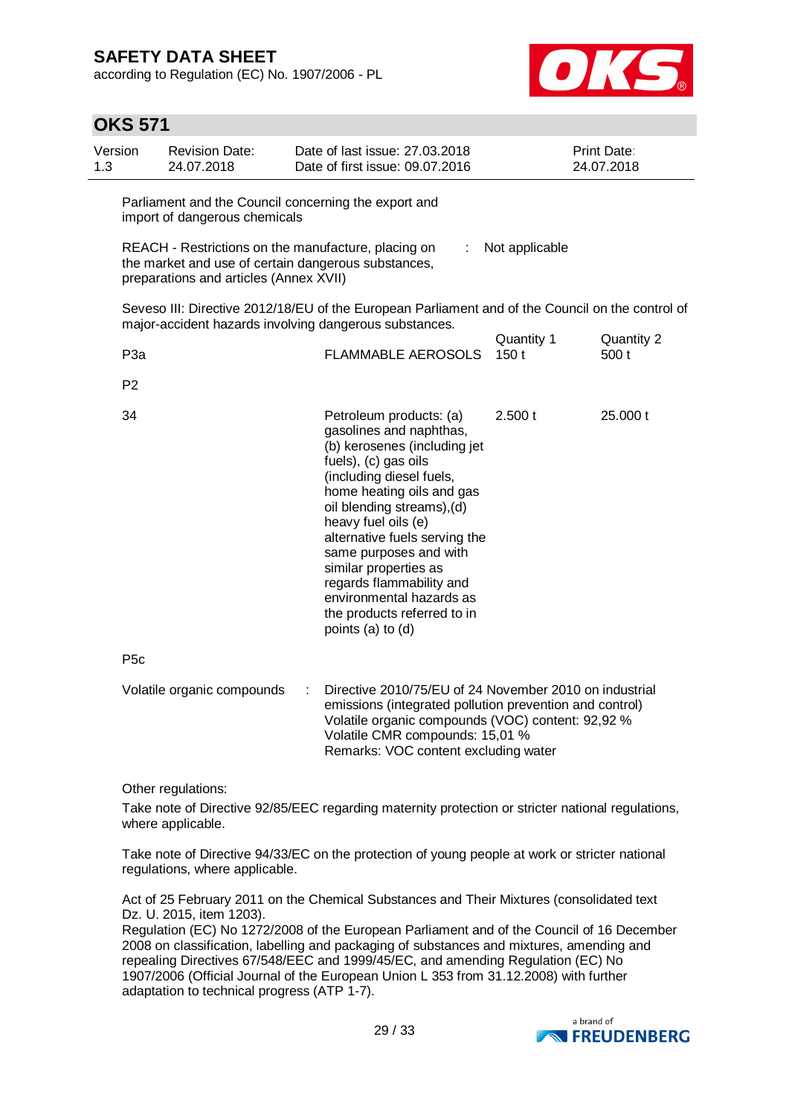**C** 571<sup>1</sup>

according to Regulation (EC) No. 1907/2006 - PL



|                | OKS 571         |                                                                                                                                                      |   |                                                                                                                                                                                                                                                                                                                                                                                                                          |                    |                           |
|----------------|-----------------|------------------------------------------------------------------------------------------------------------------------------------------------------|---|--------------------------------------------------------------------------------------------------------------------------------------------------------------------------------------------------------------------------------------------------------------------------------------------------------------------------------------------------------------------------------------------------------------------------|--------------------|---------------------------|
| Version<br>1.3 |                 | <b>Revision Date:</b><br>24.07.2018                                                                                                                  |   | Date of last issue: 27.03.2018<br>Date of first issue: 09.07.2016                                                                                                                                                                                                                                                                                                                                                        |                    | Print Date:<br>24.07.2018 |
|                |                 | Parliament and the Council concerning the export and<br>import of dangerous chemicals                                                                |   |                                                                                                                                                                                                                                                                                                                                                                                                                          |                    |                           |
|                |                 | REACH - Restrictions on the manufacture, placing on<br>the market and use of certain dangerous substances,<br>preparations and articles (Annex XVII) |   | ÷                                                                                                                                                                                                                                                                                                                                                                                                                        | Not applicable     |                           |
|                |                 |                                                                                                                                                      |   | Seveso III: Directive 2012/18/EU of the European Parliament and of the Council on the control of<br>major-accident hazards involving dangerous substances.                                                                                                                                                                                                                                                               |                    |                           |
|                | P <sub>3a</sub> |                                                                                                                                                      |   | <b>FLAMMABLE AEROSOLS</b>                                                                                                                                                                                                                                                                                                                                                                                                | Quantity 1<br>150t | Quantity 2<br>500 t       |
|                | P <sub>2</sub>  |                                                                                                                                                      |   |                                                                                                                                                                                                                                                                                                                                                                                                                          |                    |                           |
|                | 34              |                                                                                                                                                      |   | Petroleum products: (a)<br>gasolines and naphthas,<br>(b) kerosenes (including jet<br>fuels), (c) gas oils<br>(including diesel fuels,<br>home heating oils and gas<br>oil blending streams), (d)<br>heavy fuel oils (e)<br>alternative fuels serving the<br>same purposes and with<br>similar properties as<br>regards flammability and<br>environmental hazards as<br>the products referred to in<br>points (a) to (d) | 2.500 t            | 25.000 t                  |
|                | P <sub>5c</sub> |                                                                                                                                                      |   |                                                                                                                                                                                                                                                                                                                                                                                                                          |                    |                           |
|                |                 | Volatile organic compounds                                                                                                                           | ÷ | Directive 2010/75/EU of 24 November 2010 on industrial<br>emissions (integrated pollution prevention and control)<br>Volatile organic compounds (VOC) content: 92,92 %<br>Volatile CMR compounds: 15,01 %<br>Remarks: VOC content excluding water                                                                                                                                                                        |                    |                           |

Other regulations:

Take note of Directive 92/85/EEC regarding maternity protection or stricter national regulations, where applicable.

Take note of Directive 94/33/EC on the protection of young people at work or stricter national regulations, where applicable.

Act of 25 February 2011 on the Chemical Substances and Their Mixtures (consolidated text Dz. U. 2015, item 1203).

Regulation (EC) No 1272/2008 of the European Parliament and of the Council of 16 December 2008 on classification, labelling and packaging of substances and mixtures, amending and repealing Directives 67/548/EEC and 1999/45/EC, and amending Regulation (EC) No 1907/2006 (Official Journal of the European Union L 353 from 31.12.2008) with further adaptation to technical progress (ATP 1-7).

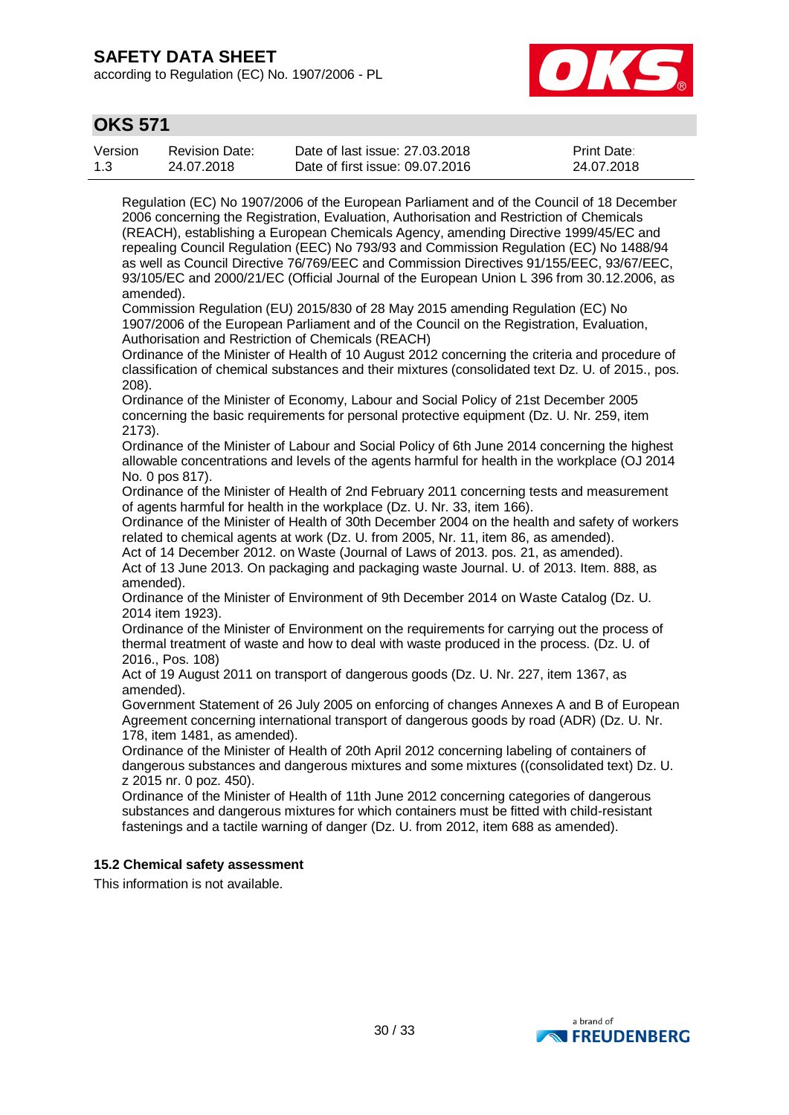according to Regulation (EC) No. 1907/2006 - PL



## **OKS 571**

| Version | <b>Revision Date:</b> | Date of last issue: 27,03,2018  | <b>Print Date:</b> |
|---------|-----------------------|---------------------------------|--------------------|
| 1.3     | 24.07.2018            | Date of first issue: 09.07.2016 | 24.07.2018         |

Regulation (EC) No 1907/2006 of the European Parliament and of the Council of 18 December 2006 concerning the Registration, Evaluation, Authorisation and Restriction of Chemicals (REACH), establishing a European Chemicals Agency, amending Directive 1999/45/EC and repealing Council Regulation (EEC) No 793/93 and Commission Regulation (EC) No 1488/94 as well as Council Directive 76/769/EEC and Commission Directives 91/155/EEC, 93/67/EEC, 93/105/EC and 2000/21/EC (Official Journal of the European Union L 396 from 30.12.2006, as amended).

Commission Regulation (EU) 2015/830 of 28 May 2015 amending Regulation (EC) No 1907/2006 of the European Parliament and of the Council on the Registration, Evaluation, Authorisation and Restriction of Chemicals (REACH)

Ordinance of the Minister of Health of 10 August 2012 concerning the criteria and procedure of classification of chemical substances and their mixtures (consolidated text Dz. U. of 2015., pos. 208).

Ordinance of the Minister of Economy, Labour and Social Policy of 21st December 2005 concerning the basic requirements for personal protective equipment (Dz. U. Nr. 259, item 2173).

Ordinance of the Minister of Labour and Social Policy of 6th June 2014 concerning the highest allowable concentrations and levels of the agents harmful for health in the workplace (OJ 2014 No. 0 pos 817).

Ordinance of the Minister of Health of 2nd February 2011 concerning tests and measurement of agents harmful for health in the workplace (Dz. U. Nr. 33, item 166).

Ordinance of the Minister of Health of 30th December 2004 on the health and safety of workers related to chemical agents at work (Dz. U. from 2005, Nr. 11, item 86, as amended).

Act of 14 December 2012. on Waste (Journal of Laws of 2013. pos. 21, as amended). Act of 13 June 2013. On packaging and packaging waste Journal. U. of 2013. Item. 888, as amended).

Ordinance of the Minister of Environment of 9th December 2014 on Waste Catalog (Dz. U. 2014 item 1923).

Ordinance of the Minister of Environment on the requirements for carrying out the process of thermal treatment of waste and how to deal with waste produced in the process. (Dz. U. of 2016., Pos. 108)

Act of 19 August 2011 on transport of dangerous goods (Dz. U. Nr. 227, item 1367, as amended).

Government Statement of 26 July 2005 on enforcing of changes Annexes A and B of European Agreement concerning international transport of dangerous goods by road (ADR) (Dz. U. Nr. 178, item 1481, as amended).

Ordinance of the Minister of Health of 20th April 2012 concerning labeling of containers of dangerous substances and dangerous mixtures and some mixtures ((consolidated text) Dz. U. z 2015 nr. 0 poz. 450).

Ordinance of the Minister of Health of 11th June 2012 concerning categories of dangerous substances and dangerous mixtures for which containers must be fitted with child-resistant fastenings and a tactile warning of danger (Dz. U. from 2012, item 688 as amended).

### **15.2 Chemical safety assessment**

This information is not available.

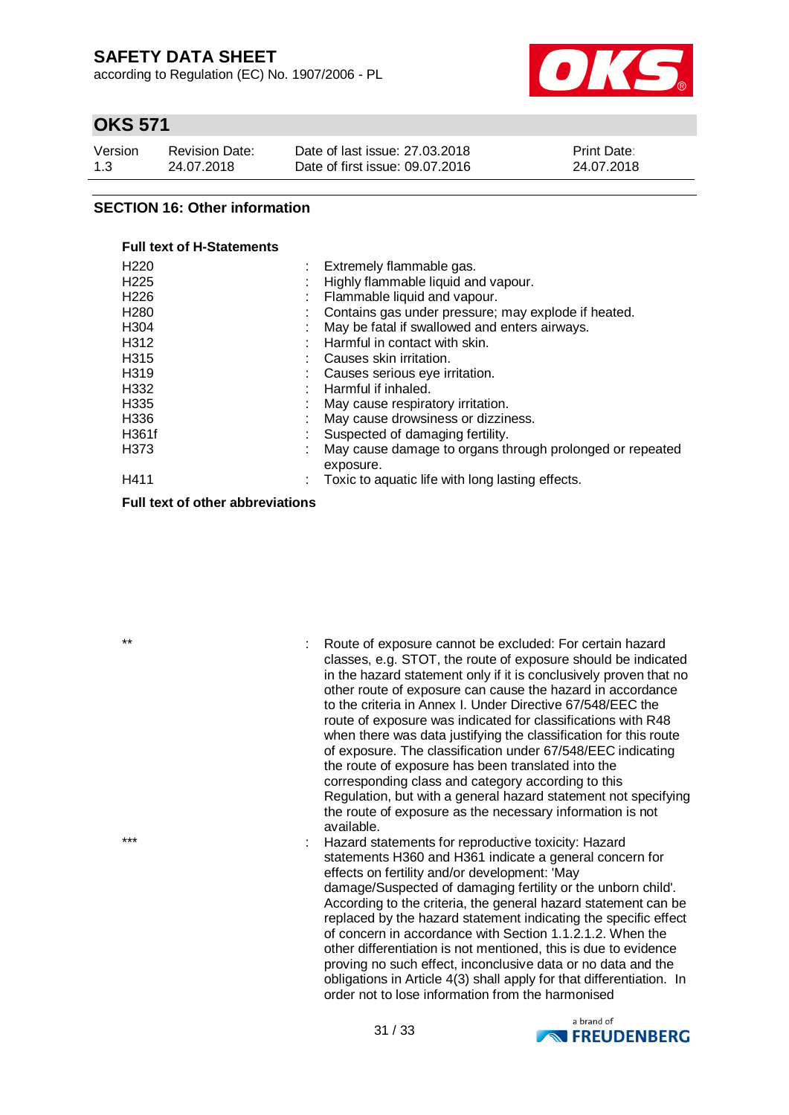according to Regulation (EC) No. 1907/2006 - PL



## **OKS 571**

| Version | <b>Revision Date:</b> | Date of last issue: 27,03,2018  | Print Date: |
|---------|-----------------------|---------------------------------|-------------|
| 1.3     | 24.07.2018            | Date of first issue: 09.07.2016 | 24.07.2018  |

### **SECTION 16: Other information**

### **Full text of H-Statements**

| H <sub>220</sub>  |         | Extremely flammable gas.                                 |
|-------------------|---------|----------------------------------------------------------|
| H <sub>225</sub>  | ٠<br>×. | Highly flammable liquid and vapour.                      |
| H <sub>226</sub>  |         | Flammable liquid and vapour.                             |
| H <sub>280</sub>  |         | Contains gas under pressure; may explode if heated.      |
| H <sub>304</sub>  |         | May be fatal if swallowed and enters airways.            |
| H312              |         | Harmful in contact with skin.                            |
| H315              | ٠       | Causes skin irritation.                                  |
| H <sub>3</sub> 19 |         | Causes serious eye irritation.                           |
| H332              |         | Harmful if inhaled.                                      |
| H <sub>335</sub>  |         | May cause respiratory irritation.                        |
| H336              |         | May cause drowsiness or dizziness.                       |
| H361f             | ٠       | Suspected of damaging fertility.                         |
| H373              | ٠       | May cause damage to organs through prolonged or repeated |
|                   |         | exposure.                                                |
| H411              |         | Toxic to aquatic life with long lasting effects.         |
|                   |         |                                                          |

**Full text of other abbreviations**

\*\* : Route of exposure cannot be excluded: For certain hazard classes, e.g. STOT, the route of exposure should be indicated in the hazard statement only if it is conclusively proven that no other route of exposure can cause the hazard in accordance to the criteria in Annex I. Under Directive 67/548/EEC the route of exposure was indicated for classifications with R48 when there was data justifying the classification for this route of exposure. The classification under 67/548/EEC indicating the route of exposure has been translated into the corresponding class and category according to this Regulation, but with a general hazard statement not specifying the route of exposure as the necessary information is not available.

\*\*\* \*\*\* \*\*\* \*\*\* \*\*\* \*\*\* : Hazard statements for reproductive toxicity: Hazard statements H360 and H361 indicate a general concern for effects on fertility and/or development: 'May damage/Suspected of damaging fertility or the unborn child'. According to the criteria, the general hazard statement can be replaced by the hazard statement indicating the specific effect of concern in accordance with Section 1.1.2.1.2. When the other differentiation is not mentioned, this is due to evidence proving no such effect, inconclusive data or no data and the obligations in Article 4(3) shall apply for that differentiation. In order not to lose information from the harmonised

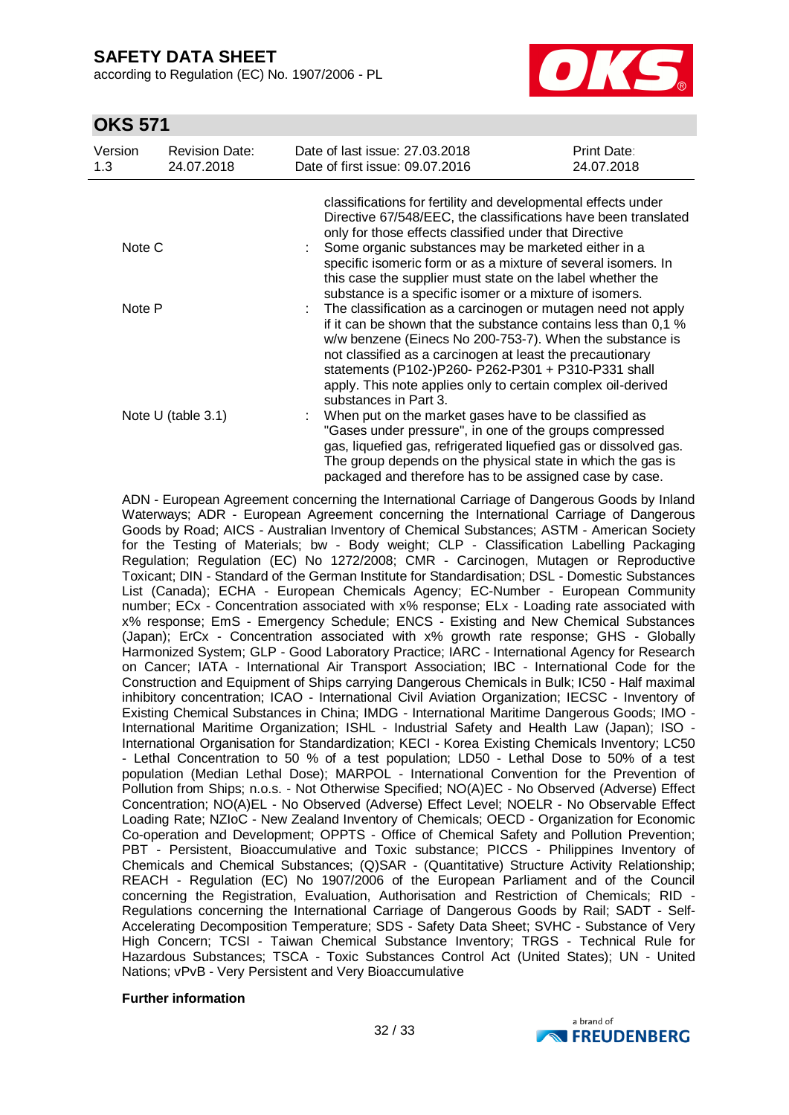according to Regulation (EC) No. 1907/2006 - PL



## **OKS 571**

| Version<br>1.3 | <b>Revision Date:</b><br>24.07.2018 | Date of last issue: 27.03.2018<br>Date of first issue: 09.07.2016                                                                                                                                                                                                                                                                                                                                       | Print Date:<br>24.07.2018                                      |  |  |  |
|----------------|-------------------------------------|---------------------------------------------------------------------------------------------------------------------------------------------------------------------------------------------------------------------------------------------------------------------------------------------------------------------------------------------------------------------------------------------------------|----------------------------------------------------------------|--|--|--|
|                |                                     | classifications for fertility and developmental effects under<br>only for those effects classified under that Directive                                                                                                                                                                                                                                                                                 | Directive 67/548/EEC, the classifications have been translated |  |  |  |
| Note C         |                                     | Some organic substances may be marketed either in a<br>specific isomeric form or as a mixture of several isomers. In<br>this case the supplier must state on the label whether the<br>substance is a specific isomer or a mixture of isomers.                                                                                                                                                           |                                                                |  |  |  |
| Note P         |                                     | The classification as a carcinogen or mutagen need not apply<br>if it can be shown that the substance contains less than 0.1 %<br>w/w benzene (Einecs No 200-753-7). When the substance is<br>not classified as a carcinogen at least the precautionary<br>statements (P102-)P260- P262-P301 + P310-P331 shall<br>apply. This note applies only to certain complex oil-derived<br>substances in Part 3. |                                                                |  |  |  |
|                | Note $U$ (table 3.1)                | When put on the market gases have to be classified as<br>"Gases under pressure", in one of the groups compressed<br>gas, liquefied gas, refrigerated liquefied gas or dissolved gas.<br>The group depends on the physical state in which the gas is<br>packaged and therefore has to be assigned case by case.                                                                                          |                                                                |  |  |  |

ADN - European Agreement concerning the International Carriage of Dangerous Goods by Inland Waterways; ADR - European Agreement concerning the International Carriage of Dangerous Goods by Road; AICS - Australian Inventory of Chemical Substances; ASTM - American Society for the Testing of Materials; bw - Body weight; CLP - Classification Labelling Packaging Regulation; Regulation (EC) No 1272/2008; CMR - Carcinogen, Mutagen or Reproductive Toxicant; DIN - Standard of the German Institute for Standardisation; DSL - Domestic Substances List (Canada); ECHA - European Chemicals Agency; EC-Number - European Community number; ECx - Concentration associated with x% response; ELx - Loading rate associated with x% response; EmS - Emergency Schedule; ENCS - Existing and New Chemical Substances (Japan); ErCx - Concentration associated with x% growth rate response; GHS - Globally Harmonized System; GLP - Good Laboratory Practice; IARC - International Agency for Research on Cancer; IATA - International Air Transport Association; IBC - International Code for the Construction and Equipment of Ships carrying Dangerous Chemicals in Bulk; IC50 - Half maximal inhibitory concentration; ICAO - International Civil Aviation Organization; IECSC - Inventory of Existing Chemical Substances in China; IMDG - International Maritime Dangerous Goods; IMO - International Maritime Organization; ISHL - Industrial Safety and Health Law (Japan); ISO - International Organisation for Standardization; KECI - Korea Existing Chemicals Inventory; LC50 - Lethal Concentration to 50 % of a test population; LD50 - Lethal Dose to 50% of a test population (Median Lethal Dose); MARPOL - International Convention for the Prevention of Pollution from Ships; n.o.s. - Not Otherwise Specified; NO(A)EC - No Observed (Adverse) Effect Concentration; NO(A)EL - No Observed (Adverse) Effect Level; NOELR - No Observable Effect Loading Rate; NZIoC - New Zealand Inventory of Chemicals; OECD - Organization for Economic Co-operation and Development; OPPTS - Office of Chemical Safety and Pollution Prevention; PBT - Persistent, Bioaccumulative and Toxic substance; PICCS - Philippines Inventory of Chemicals and Chemical Substances; (Q)SAR - (Quantitative) Structure Activity Relationship; REACH - Regulation (EC) No 1907/2006 of the European Parliament and of the Council concerning the Registration, Evaluation, Authorisation and Restriction of Chemicals; RID - Regulations concerning the International Carriage of Dangerous Goods by Rail; SADT - Self-Accelerating Decomposition Temperature; SDS - Safety Data Sheet; SVHC - Substance of Very High Concern; TCSI - Taiwan Chemical Substance Inventory; TRGS - Technical Rule for Hazardous Substances; TSCA - Toxic Substances Control Act (United States); UN - United Nations; vPvB - Very Persistent and Very Bioaccumulative

#### **Further information**